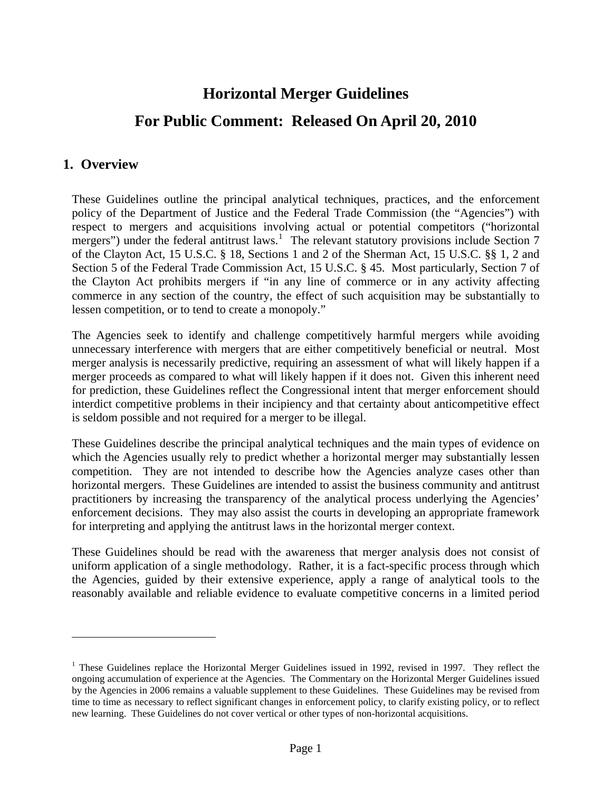# **Horizontal Merger Guidelines For Public Comment: Released On April 20, 2010**

## **1. Overview**

 $\overline{a}$ 

These Guidelines outline the principal analytical techniques, practices, and the enforcement policy of the Department of Justice and the Federal Trade Commission (the "Agencies") with respect to mergers and acquisitions involving actual or potential competitors ("horizontal mergers") under the federal antitrust laws.<sup>[1](#page-0-0)</sup> The relevant statutory provisions include Section 7 of the Clayton Act, 15 U.S.C. § 18, Sections 1 and 2 of the Sherman Act, 15 U.S.C. §§ 1, 2 and Section 5 of the Federal Trade Commission Act, 15 U.S.C. § 45. Most particularly, Section 7 of the Clayton Act prohibits mergers if "in any line of commerce or in any activity affecting commerce in any section of the country, the effect of such acquisition may be substantially to lessen competition, or to tend to create a monopoly."

The Agencies seek to identify and challenge competitively harmful mergers while avoiding unnecessary interference with mergers that are either competitively beneficial or neutral. Most merger analysis is necessarily predictive, requiring an assessment of what will likely happen if a merger proceeds as compared to what will likely happen if it does not. Given this inherent need for prediction, these Guidelines reflect the Congressional intent that merger enforcement should interdict competitive problems in their incipiency and that certainty about anticompetitive effect is seldom possible and not required for a merger to be illegal.

These Guidelines describe the principal analytical techniques and the main types of evidence on which the Agencies usually rely to predict whether a horizontal merger may substantially lessen competition. They are not intended to describe how the Agencies analyze cases other than horizontal mergers. These Guidelines are intended to assist the business community and antitrust practitioners by increasing the transparency of the analytical process underlying the Agencies' enforcement decisions. They may also assist the courts in developing an appropriate framework for interpreting and applying the antitrust laws in the horizontal merger context.

These Guidelines should be read with the awareness that merger analysis does not consist of uniform application of a single methodology. Rather, it is a fact-specific process through which the Agencies, guided by their extensive experience, apply a range of analytical tools to the reasonably available and reliable evidence to evaluate competitive concerns in a limited period

<span id="page-0-0"></span><sup>&</sup>lt;sup>1</sup> These Guidelines replace the Horizontal Merger Guidelines issued in 1992, revised in 1997. They reflect the ongoing accumulation of experience at the Agencies. The Commentary on the Horizontal Merger Guidelines issued by the Agencies in 2006 remains a valuable supplement to these Guidelines. These Guidelines may be revised from time to time as necessary to reflect significant changes in enforcement policy, to clarify existing policy, or to reflect new learning. These Guidelines do not cover vertical or other types of non-horizontal acquisitions.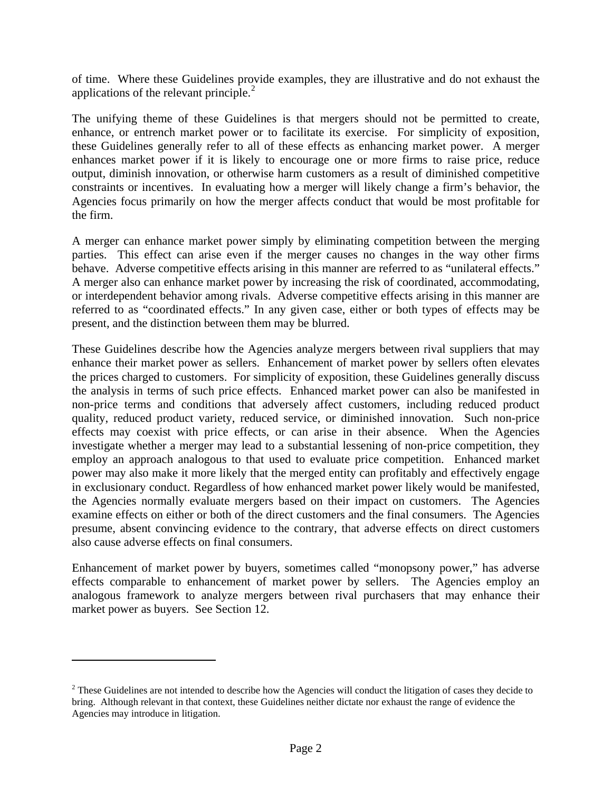of time. Where these Guidelines provide examples, they are illustrative and do not exhaust the applications of the relevant principle. $<sup>2</sup>$  $<sup>2</sup>$  $<sup>2</sup>$ </sup>

The unifying theme of these Guidelines is that mergers should not be permitted to create, enhance, or entrench market power or to facilitate its exercise. For simplicity of exposition, these Guidelines generally refer to all of these effects as enhancing market power. A merger enhances market power if it is likely to encourage one or more firms to raise price, reduce output, diminish innovation, or otherwise harm customers as a result of diminished competitive constraints or incentives. In evaluating how a merger will likely change a firm's behavior, the Agencies focus primarily on how the merger affects conduct that would be most profitable for the firm.

A merger can enhance market power simply by eliminating competition between the merging parties. This effect can arise even if the merger causes no changes in the way other firms behave. Adverse competitive effects arising in this manner are referred to as "unilateral effects." A merger also can enhance market power by increasing the risk of coordinated, accommodating, or interdependent behavior among rivals. Adverse competitive effects arising in this manner are referred to as "coordinated effects." In any given case, either or both types of effects may be present, and the distinction between them may be blurred.

These Guidelines describe how the Agencies analyze mergers between rival suppliers that may enhance their market power as sellers. Enhancement of market power by sellers often elevates the prices charged to customers. For simplicity of exposition, these Guidelines generally discuss the analysis in terms of such price effects. Enhanced market power can also be manifested in non-price terms and conditions that adversely affect customers, including reduced product quality, reduced product variety, reduced service, or diminished innovation. Such non-price effects may coexist with price effects, or can arise in their absence. When the Agencies investigate whether a merger may lead to a substantial lessening of non-price competition, they employ an approach analogous to that used to evaluate price competition. Enhanced market power may also make it more likely that the merged entity can profitably and effectively engage in exclusionary conduct. Regardless of how enhanced market power likely would be manifested, the Agencies normally evaluate mergers based on their impact on customers. The Agencies examine effects on either or both of the direct customers and the final consumers. The Agencies presume, absent convincing evidence to the contrary, that adverse effects on direct customers also cause adverse effects on final consumers.

Enhancement of market power by buyers, sometimes called "monopsony power," has adverse effects comparable to enhancement of market power by sellers. The Agencies employ an analogous framework to analyze mergers between rival purchasers that may enhance their market power as buyers. See Section 12.

 $\overline{a}$ 

<span id="page-1-0"></span> $2^2$  These Guidelines are not intended to describe how the Agencies will conduct the litigation of cases they decide to bring. Although relevant in that context, these Guidelines neither dictate nor exhaust the range of evidence the Agencies may introduce in litigation.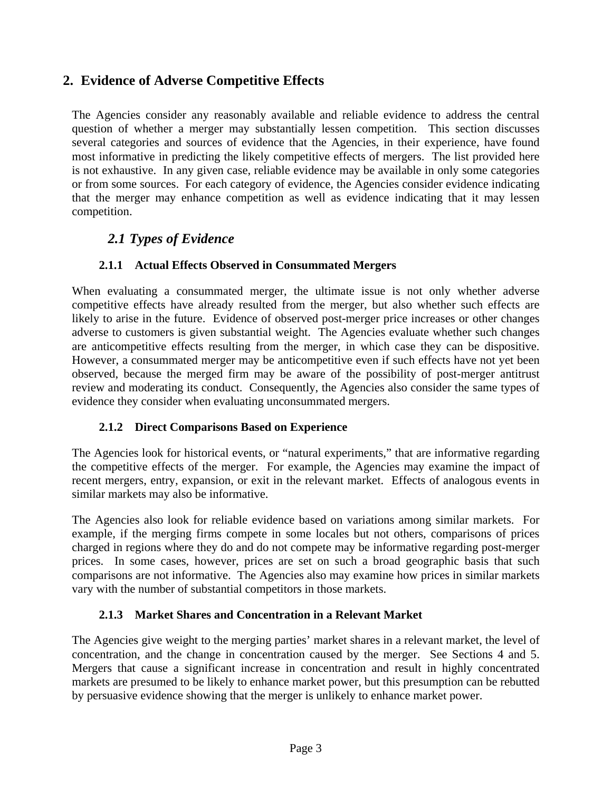# **2. Evidence of Adverse Competitive Effects**

The Agencies consider any reasonably available and reliable evidence to address the central question of whether a merger may substantially lessen competition. This section discusses several categories and sources of evidence that the Agencies, in their experience, have found most informative in predicting the likely competitive effects of mergers. The list provided here is not exhaustive. In any given case, reliable evidence may be available in only some categories or from some sources. For each category of evidence, the Agencies consider evidence indicating that the merger may enhance competition as well as evidence indicating that it may lessen competition.

## *2.1 Types of Evidence*

#### **2.1.1 Actual Effects Observed in Consummated Mergers**

When evaluating a consummated merger, the ultimate issue is not only whether adverse competitive effects have already resulted from the merger, but also whether such effects are likely to arise in the future. Evidence of observed post-merger price increases or other changes adverse to customers is given substantial weight. The Agencies evaluate whether such changes are anticompetitive effects resulting from the merger, in which case they can be dispositive. However, a consummated merger may be anticompetitive even if such effects have not yet been observed, because the merged firm may be aware of the possibility of post-merger antitrust review and moderating its conduct. Consequently, the Agencies also consider the same types of evidence they consider when evaluating unconsummated mergers.

#### **2.1.2 Direct Comparisons Based on Experience**

The Agencies look for historical events, or "natural experiments," that are informative regarding the competitive effects of the merger. For example, the Agencies may examine the impact of recent mergers, entry, expansion, or exit in the relevant market. Effects of analogous events in similar markets may also be informative.

The Agencies also look for reliable evidence based on variations among similar markets. For example, if the merging firms compete in some locales but not others, comparisons of prices charged in regions where they do and do not compete may be informative regarding post-merger prices. In some cases, however, prices are set on such a broad geographic basis that such comparisons are not informative. The Agencies also may examine how prices in similar markets vary with the number of substantial competitors in those markets.

#### **2.1.3 Market Shares and Concentration in a Relevant Market**

The Agencies give weight to the merging parties' market shares in a relevant market, the level of concentration, and the change in concentration caused by the merger. See Sections 4 and 5. Mergers that cause a significant increase in concentration and result in highly concentrated markets are presumed to be likely to enhance market power, but this presumption can be rebutted by persuasive evidence showing that the merger is unlikely to enhance market power.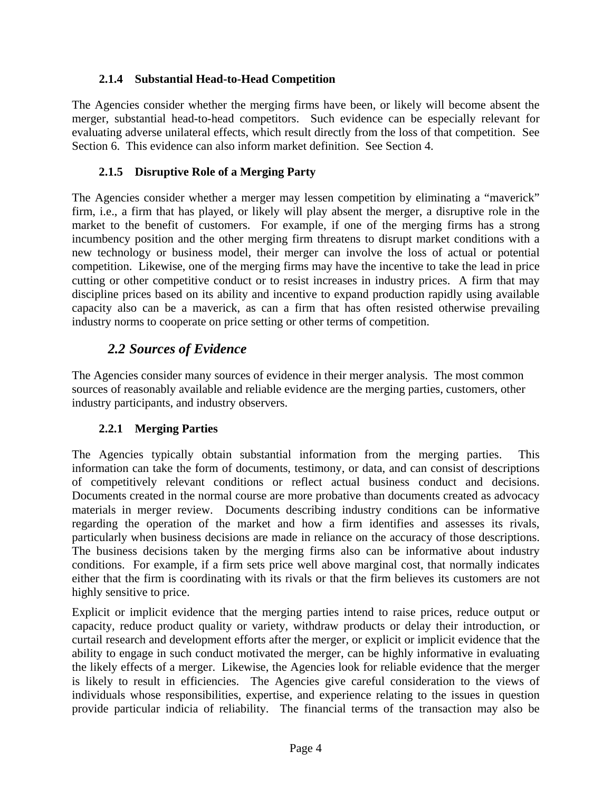#### **2.1.4 Substantial Head-to-Head Competition**

The Agencies consider whether the merging firms have been, or likely will become absent the merger, substantial head-to-head competitors. Such evidence can be especially relevant for evaluating adverse unilateral effects, which result directly from the loss of that competition. See Section 6. This evidence can also inform market definition. See Section 4.

#### **2.1.5 Disruptive Role of a Merging Party**

The Agencies consider whether a merger may lessen competition by eliminating a "maverick" firm, i.e., a firm that has played, or likely will play absent the merger, a disruptive role in the market to the benefit of customers. For example, if one of the merging firms has a strong incumbency position and the other merging firm threatens to disrupt market conditions with a new technology or business model, their merger can involve the loss of actual or potential competition. Likewise, one of the merging firms may have the incentive to take the lead in price cutting or other competitive conduct or to resist increases in industry prices. A firm that may discipline prices based on its ability and incentive to expand production rapidly using available capacity also can be a maverick, as can a firm that has often resisted otherwise prevailing industry norms to cooperate on price setting or other terms of competition.

## *2.2 Sources of Evidence*

The Agencies consider many sources of evidence in their merger analysis. The most common sources of reasonably available and reliable evidence are the merging parties, customers, other industry participants, and industry observers.

#### **2.2.1 Merging Parties**

The Agencies typically obtain substantial information from the merging parties. This information can take the form of documents, testimony, or data, and can consist of descriptions of competitively relevant conditions or reflect actual business conduct and decisions. Documents created in the normal course are more probative than documents created as advocacy materials in merger review. Documents describing industry conditions can be informative regarding the operation of the market and how a firm identifies and assesses its rivals, particularly when business decisions are made in reliance on the accuracy of those descriptions. The business decisions taken by the merging firms also can be informative about industry conditions. For example, if a firm sets price well above marginal cost, that normally indicates either that the firm is coordinating with its rivals or that the firm believes its customers are not highly sensitive to price.

Explicit or implicit evidence that the merging parties intend to raise prices, reduce output or capacity, reduce product quality or variety, withdraw products or delay their introduction, or curtail research and development efforts after the merger, or explicit or implicit evidence that the ability to engage in such conduct motivated the merger, can be highly informative in evaluating the likely effects of a merger. Likewise, the Agencies look for reliable evidence that the merger is likely to result in efficiencies. The Agencies give careful consideration to the views of individuals whose responsibilities, expertise, and experience relating to the issues in question provide particular indicia of reliability. The financial terms of the transaction may also be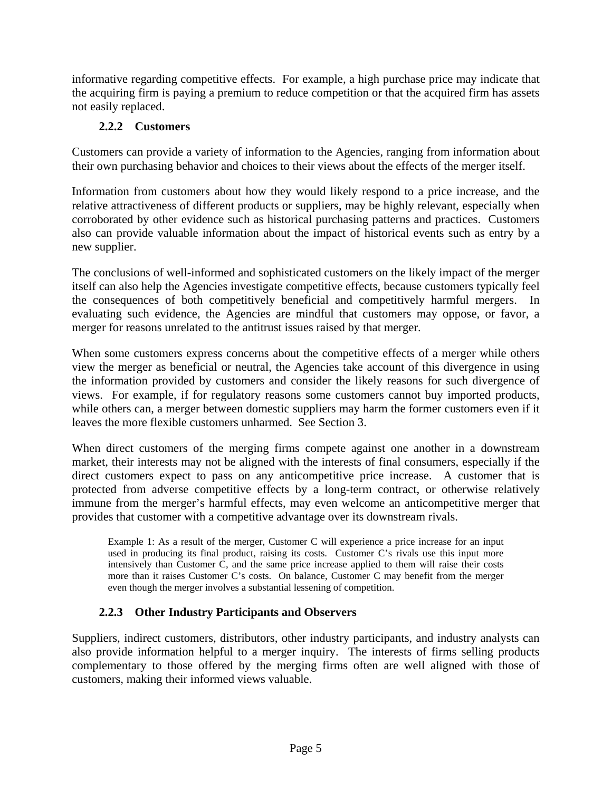informative regarding competitive effects. For example, a high purchase price may indicate that the acquiring firm is paying a premium to reduce competition or that the acquired firm has assets not easily replaced.

#### **2.2.2 Customers**

Customers can provide a variety of information to the Agencies, ranging from information about their own purchasing behavior and choices to their views about the effects of the merger itself.

Information from customers about how they would likely respond to a price increase, and the relative attractiveness of different products or suppliers, may be highly relevant, especially when corroborated by other evidence such as historical purchasing patterns and practices. Customers also can provide valuable information about the impact of historical events such as entry by a new supplier.

The conclusions of well-informed and sophisticated customers on the likely impact of the merger itself can also help the Agencies investigate competitive effects, because customers typically feel the consequences of both competitively beneficial and competitively harmful mergers. In evaluating such evidence, the Agencies are mindful that customers may oppose, or favor, a merger for reasons unrelated to the antitrust issues raised by that merger.

When some customers express concerns about the competitive effects of a merger while others view the merger as beneficial or neutral, the Agencies take account of this divergence in using the information provided by customers and consider the likely reasons for such divergence of views. For example, if for regulatory reasons some customers cannot buy imported products, while others can, a merger between domestic suppliers may harm the former customers even if it leaves the more flexible customers unharmed. See Section 3.

When direct customers of the merging firms compete against one another in a downstream market, their interests may not be aligned with the interests of final consumers, especially if the direct customers expect to pass on any anticompetitive price increase. A customer that is protected from adverse competitive effects by a long-term contract, or otherwise relatively immune from the merger's harmful effects, may even welcome an anticompetitive merger that provides that customer with a competitive advantage over its downstream rivals.

Example 1: As a result of the merger, Customer C will experience a price increase for an input used in producing its final product, raising its costs. Customer C's rivals use this input more intensively than Customer  $\overline{C}$ , and the same price increase applied to them will raise their costs more than it raises Customer C's costs. On balance, Customer C may benefit from the merger even though the merger involves a substantial lessening of competition.

## **2.2.3 Other Industry Participants and Observers**

Suppliers, indirect customers, distributors, other industry participants, and industry analysts can also provide information helpful to a merger inquiry. The interests of firms selling products complementary to those offered by the merging firms often are well aligned with those of customers, making their informed views valuable.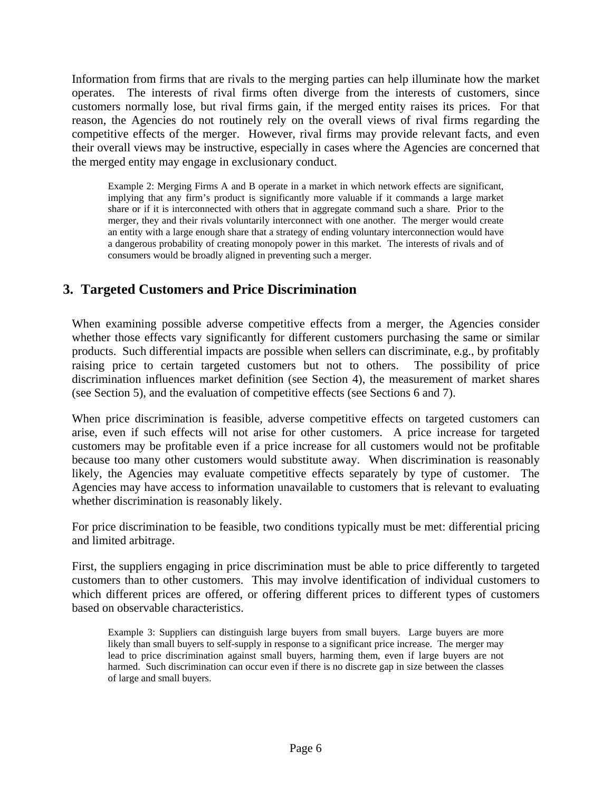Information from firms that are rivals to the merging parties can help illuminate how the market operates. The interests of rival firms often diverge from the interests of customers, since customers normally lose, but rival firms gain, if the merged entity raises its prices. For that reason, the Agencies do not routinely rely on the overall views of rival firms regarding the competitive effects of the merger. However, rival firms may provide relevant facts, and even their overall views may be instructive, especially in cases where the Agencies are concerned that the merged entity may engage in exclusionary conduct.

Example 2: Merging Firms A and B operate in a market in which network effects are significant, implying that any firm's product is significantly more valuable if it commands a large market share or if it is interconnected with others that in aggregate command such a share. Prior to the merger, they and their rivals voluntarily interconnect with one another. The merger would create an entity with a large enough share that a strategy of ending voluntary interconnection would have a dangerous probability of creating monopoly power in this market. The interests of rivals and of consumers would be broadly aligned in preventing such a merger.

## **3. Targeted Customers and Price Discrimination**

When examining possible adverse competitive effects from a merger, the Agencies consider whether those effects vary significantly for different customers purchasing the same or similar products. Such differential impacts are possible when sellers can discriminate, e.g., by profitably raising price to certain targeted customers but not to others. The possibility of price discrimination influences market definition (see Section 4), the measurement of market shares (see Section 5), and the evaluation of competitive effects (see Sections 6 and 7).

When price discrimination is feasible, adverse competitive effects on targeted customers can arise, even if such effects will not arise for other customers. A price increase for targeted customers may be profitable even if a price increase for all customers would not be profitable because too many other customers would substitute away. When discrimination is reasonably likely, the Agencies may evaluate competitive effects separately by type of customer. The Agencies may have access to information unavailable to customers that is relevant to evaluating whether discrimination is reasonably likely.

For price discrimination to be feasible, two conditions typically must be met: differential pricing and limited arbitrage.

First, the suppliers engaging in price discrimination must be able to price differently to targeted customers than to other customers. This may involve identification of individual customers to which different prices are offered, or offering different prices to different types of customers based on observable characteristics.

Example 3: Suppliers can distinguish large buyers from small buyers. Large buyers are more likely than small buyers to self-supply in response to a significant price increase. The merger may lead to price discrimination against small buyers, harming them, even if large buyers are not harmed. Such discrimination can occur even if there is no discrete gap in size between the classes of large and small buyers.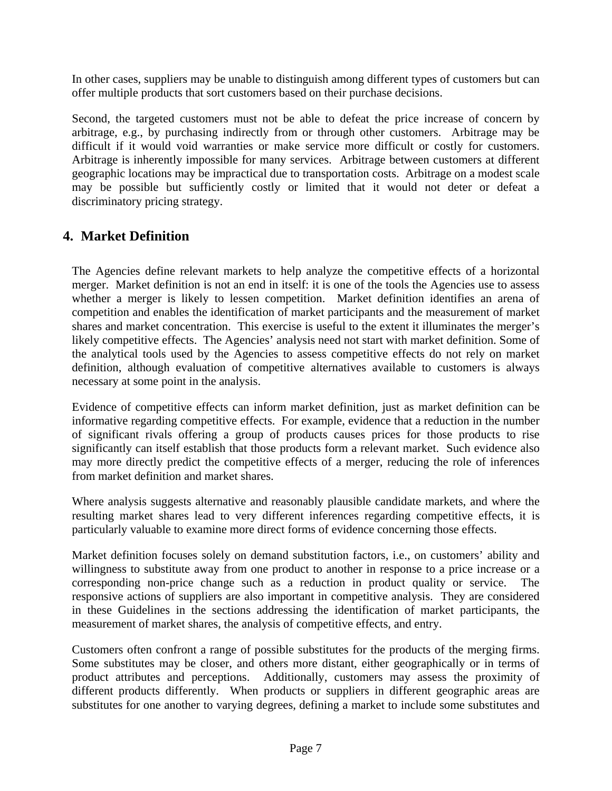In other cases, suppliers may be unable to distinguish among different types of customers but can offer multiple products that sort customers based on their purchase decisions.

Second, the targeted customers must not be able to defeat the price increase of concern by arbitrage, e.g., by purchasing indirectly from or through other customers. Arbitrage may be difficult if it would void warranties or make service more difficult or costly for customers. Arbitrage is inherently impossible for many services. Arbitrage between customers at different geographic locations may be impractical due to transportation costs. Arbitrage on a modest scale may be possible but sufficiently costly or limited that it would not deter or defeat a discriminatory pricing strategy.

## **4. Market Definition**

The Agencies define relevant markets to help analyze the competitive effects of a horizontal merger. Market definition is not an end in itself: it is one of the tools the Agencies use to assess whether a merger is likely to lessen competition. Market definition identifies an arena of competition and enables the identification of market participants and the measurement of market shares and market concentration. This exercise is useful to the extent it illuminates the merger's likely competitive effects. The Agencies' analysis need not start with market definition. Some of the analytical tools used by the Agencies to assess competitive effects do not rely on market definition, although evaluation of competitive alternatives available to customers is always necessary at some point in the analysis.

Evidence of competitive effects can inform market definition, just as market definition can be informative regarding competitive effects. For example, evidence that a reduction in the number of significant rivals offering a group of products causes prices for those products to rise significantly can itself establish that those products form a relevant market. Such evidence also may more directly predict the competitive effects of a merger, reducing the role of inferences from market definition and market shares.

Where analysis suggests alternative and reasonably plausible candidate markets, and where the resulting market shares lead to very different inferences regarding competitive effects, it is particularly valuable to examine more direct forms of evidence concerning those effects.

Market definition focuses solely on demand substitution factors, i.e., on customers' ability and willingness to substitute away from one product to another in response to a price increase or a corresponding non-price change such as a reduction in product quality or service. responsive actions of suppliers are also important in competitive analysis. They are considered in these Guidelines in the sections addressing the identification of market participants, the measurement of market shares, the analysis of competitive effects, and entry.

Customers often confront a range of possible substitutes for the products of the merging firms. Some substitutes may be closer, and others more distant, either geographically or in terms of product attributes and perceptions. Additionally, customers may assess the proximity of different products differently. When products or suppliers in different geographic areas are substitutes for one another to varying degrees, defining a market to include some substitutes and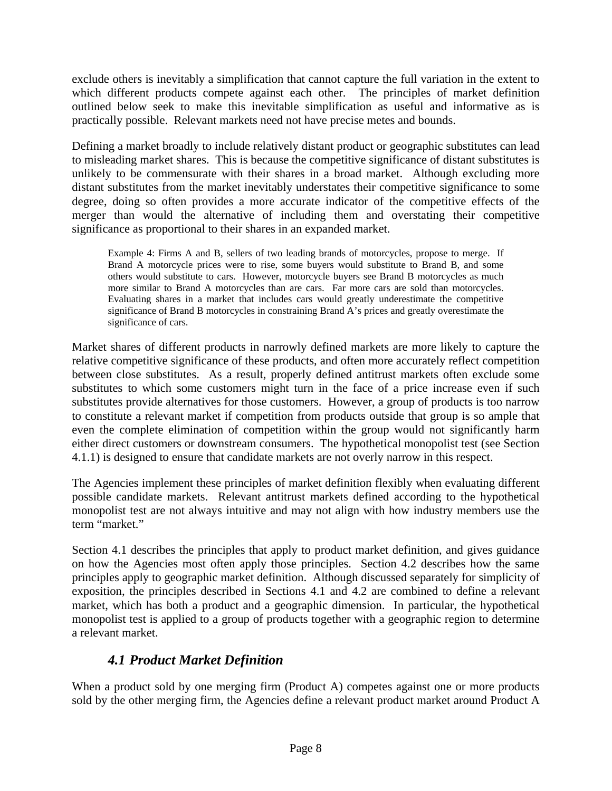exclude others is inevitably a simplification that cannot capture the full variation in the extent to which different products compete against each other. The principles of market definition outlined below seek to make this inevitable simplification as useful and informative as is practically possible. Relevant markets need not have precise metes and bounds.

Defining a market broadly to include relatively distant product or geographic substitutes can lead to misleading market shares. This is because the competitive significance of distant substitutes is unlikely to be commensurate with their shares in a broad market. Although excluding more distant substitutes from the market inevitably understates their competitive significance to some degree, doing so often provides a more accurate indicator of the competitive effects of the merger than would the alternative of including them and overstating their competitive significance as proportional to their shares in an expanded market.

Example 4: Firms A and B, sellers of two leading brands of motorcycles, propose to merge. If Brand A motorcycle prices were to rise, some buyers would substitute to Brand B, and some others would substitute to cars. However, motorcycle buyers see Brand B motorcycles as much more similar to Brand A motorcycles than are cars. Far more cars are sold than motorcycles. Evaluating shares in a market that includes cars would greatly underestimate the competitive significance of Brand B motorcycles in constraining Brand A's prices and greatly overestimate the significance of cars.

Market shares of different products in narrowly defined markets are more likely to capture the relative competitive significance of these products, and often more accurately reflect competition between close substitutes. As a result, properly defined antitrust markets often exclude some substitutes to which some customers might turn in the face of a price increase even if such substitutes provide alternatives for those customers. However, a group of products is too narrow to constitute a relevant market if competition from products outside that group is so ample that even the complete elimination of competition within the group would not significantly harm either direct customers or downstream consumers. The hypothetical monopolist test (see Section 4.1.1) is designed to ensure that candidate markets are not overly narrow in this respect.

The Agencies implement these principles of market definition flexibly when evaluating different possible candidate markets. Relevant antitrust markets defined according to the hypothetical monopolist test are not always intuitive and may not align with how industry members use the term "market."

Section 4.1 describes the principles that apply to product market definition, and gives guidance on how the Agencies most often apply those principles. Section 4.2 describes how the same principles apply to geographic market definition. Although discussed separately for simplicity of exposition, the principles described in Sections 4.1 and 4.2 are combined to define a relevant market, which has both a product and a geographic dimension. In particular, the hypothetical monopolist test is applied to a group of products together with a geographic region to determine a relevant market.

# *4.1 Product Market Definition*

When a product sold by one merging firm (Product A) competes against one or more products sold by the other merging firm, the Agencies define a relevant product market around Product A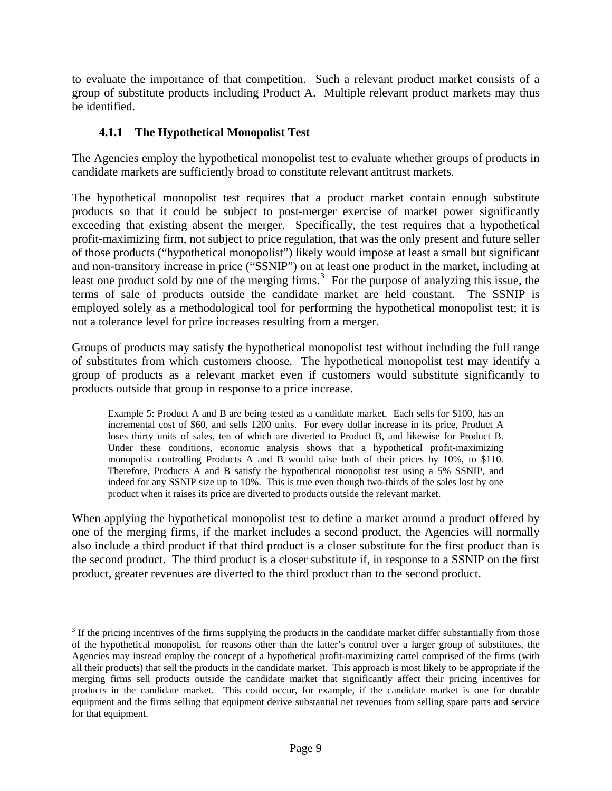to evaluate the importance of that competition. Such a relevant product market consists of a group of substitute products including Product A. Multiple relevant product markets may thus be identified.

#### **4.1.1 The Hypothetical Monopolist Test**

 $\overline{a}$ 

The Agencies employ the hypothetical monopolist test to evaluate whether groups of products in candidate markets are sufficiently broad to constitute relevant antitrust markets.

The hypothetical monopolist test requires that a product market contain enough substitute products so that it could be subject to post-merger exercise of market power significantly exceeding that existing absent the merger. Specifically, the test requires that a hypothetical profit-maximizing firm, not subject to price regulation, that was the only present and future seller of those products ("hypothetical monopolist") likely would impose at least a small but significant and non-transitory increase in price ("SSNIP") on at least one product in the market, including at least one product sold by one of the merging firms.<sup>[3](#page-8-0)</sup> For the purpose of analyzing this issue, the terms of sale of products outside the candidate market are held constant. The SSNIP is employed solely as a methodological tool for performing the hypothetical monopolist test; it is not a tolerance level for price increases resulting from a merger.

Groups of products may satisfy the hypothetical monopolist test without including the full range of substitutes from which customers choose. The hypothetical monopolist test may identify a group of products as a relevant market even if customers would substitute significantly to products outside that group in response to a price increase.

Example 5: Product A and B are being tested as a candidate market. Each sells for \$100, has an incremental cost of \$60, and sells 1200 units. For every dollar increase in its price, Product A loses thirty units of sales, ten of which are diverted to Product B, and likewise for Product B. Under these conditions, economic analysis shows that a hypothetical profit-maximizing monopolist controlling Products A and B would raise both of their prices by 10%, to \$110. Therefore, Products A and B satisfy the hypothetical monopolist test using a 5% SSNIP, and indeed for any SSNIP size up to 10%. This is true even though two-thirds of the sales lost by one product when it raises its price are diverted to products outside the relevant market.

When applying the hypothetical monopolist test to define a market around a product offered by one of the merging firms, if the market includes a second product, the Agencies will normally also include a third product if that third product is a closer substitute for the first product than is the second product. The third product is a closer substitute if, in response to a SSNIP on the first product, greater revenues are diverted to the third product than to the second product.

<span id="page-8-0"></span> $3$  If the pricing incentives of the firms supplying the products in the candidate market differ substantially from those of the hypothetical monopolist, for reasons other than the latter's control over a larger group of substitutes, the Agencies may instead employ the concept of a hypothetical profit-maximizing cartel comprised of the firms (with all their products) that sell the products in the candidate market. This approach is most likely to be appropriate if the merging firms sell products outside the candidate market that significantly affect their pricing incentives for products in the candidate market. This could occur, for example, if the candidate market is one for durable equipment and the firms selling that equipment derive substantial net revenues from selling spare parts and service for that equipment.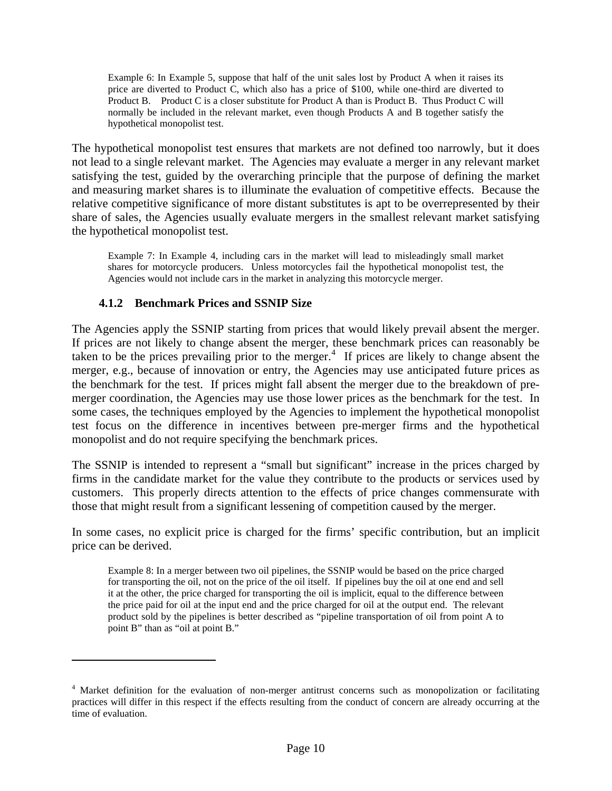Example 6: In Example 5, suppose that half of the unit sales lost by Product A when it raises its price are diverted to Product C, which also has a price of \$100, while one-third are diverted to Product B. Product C is a closer substitute for Product A than is Product B. Thus Product C will normally be included in the relevant market, even though Products A and B together satisfy the hypothetical monopolist test.

The hypothetical monopolist test ensures that markets are not defined too narrowly, but it does not lead to a single relevant market. The Agencies may evaluate a merger in any relevant market satisfying the test, guided by the overarching principle that the purpose of defining the market and measuring market shares is to illuminate the evaluation of competitive effects. Because the relative competitive significance of more distant substitutes is apt to be overrepresented by their share of sales, the Agencies usually evaluate mergers in the smallest relevant market satisfying the hypothetical monopolist test.

Example 7: In Example 4, including cars in the market will lead to misleadingly small market shares for motorcycle producers. Unless motorcycles fail the hypothetical monopolist test, the Agencies would not include cars in the market in analyzing this motorcycle merger.

#### **4.1.2 Benchmark Prices and SSNIP Size**

 $\overline{a}$ 

The Agencies apply the SSNIP starting from prices that would likely prevail absent the merger. If prices are not likely to change absent the merger, these benchmark prices can reasonably be taken to be the prices prevailing prior to the merger.<sup>[4](#page-9-0)</sup> If prices are likely to change absent the merger, e.g., because of innovation or entry, the Agencies may use anticipated future prices as the benchmark for the test. If prices might fall absent the merger due to the breakdown of premerger coordination, the Agencies may use those lower prices as the benchmark for the test. In some cases, the techniques employed by the Agencies to implement the hypothetical monopolist test focus on the difference in incentives between pre-merger firms and the hypothetical monopolist and do not require specifying the benchmark prices.

The SSNIP is intended to represent a "small but significant" increase in the prices charged by firms in the candidate market for the value they contribute to the products or services used by customers. This properly directs attention to the effects of price changes commensurate with those that might result from a significant lessening of competition caused by the merger.

In some cases, no explicit price is charged for the firms' specific contribution, but an implicit price can be derived.

Example 8: In a merger between two oil pipelines, the SSNIP would be based on the price charged for transporting the oil, not on the price of the oil itself. If pipelines buy the oil at one end and sell it at the other, the price charged for transporting the oil is implicit, equal to the difference between the price paid for oil at the input end and the price charged for oil at the output end. The relevant product sold by the pipelines is better described as "pipeline transportation of oil from point A to point B" than as "oil at point B."

<span id="page-9-0"></span><sup>&</sup>lt;sup>4</sup> Market definition for the evaluation of non-merger antitrust concerns such as monopolization or facilitating practices will differ in this respect if the effects resulting from the conduct of concern are already occurring at the time of evaluation.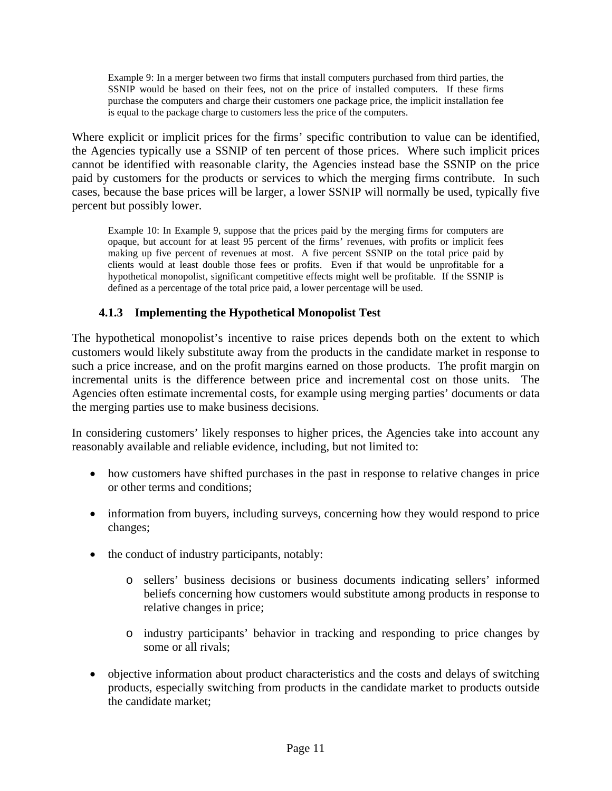Example 9: In a merger between two firms that install computers purchased from third parties, the SSNIP would be based on their fees, not on the price of installed computers. If these firms purchase the computers and charge their customers one package price, the implicit installation fee is equal to the package charge to customers less the price of the computers.

Where explicit or implicit prices for the firms' specific contribution to value can be identified, the Agencies typically use a SSNIP of ten percent of those prices. Where such implicit prices cannot be identified with reasonable clarity, the Agencies instead base the SSNIP on the price paid by customers for the products or services to which the merging firms contribute. In such cases, because the base prices will be larger, a lower SSNIP will normally be used, typically five percent but possibly lower.

Example 10: In Example 9, suppose that the prices paid by the merging firms for computers are opaque, but account for at least 95 percent of the firms' revenues, with profits or implicit fees making up five percent of revenues at most. A five percent SSNIP on the total price paid by clients would at least double those fees or profits. Even if that would be unprofitable for a hypothetical monopolist, significant competitive effects might well be profitable. If the SSNIP is defined as a percentage of the total price paid, a lower percentage will be used.

#### **4.1.3 Implementing the Hypothetical Monopolist Test**

The hypothetical monopolist's incentive to raise prices depends both on the extent to which customers would likely substitute away from the products in the candidate market in response to such a price increase, and on the profit margins earned on those products. The profit margin on incremental units is the difference between price and incremental cost on those units. The Agencies often estimate incremental costs, for example using merging parties' documents or data the merging parties use to make business decisions.

In considering customers' likely responses to higher prices, the Agencies take into account any reasonably available and reliable evidence, including, but not limited to:

- how customers have shifted purchases in the past in response to relative changes in price or other terms and conditions;
- information from buyers, including surveys, concerning how they would respond to price changes;
- the conduct of industry participants, notably:
	- o sellers' business decisions or business documents indicating sellers' informed beliefs concerning how customers would substitute among products in response to relative changes in price;
	- o industry participants' behavior in tracking and responding to price changes by some or all rivals;
- objective information about product characteristics and the costs and delays of switching products, especially switching from products in the candidate market to products outside the candidate market;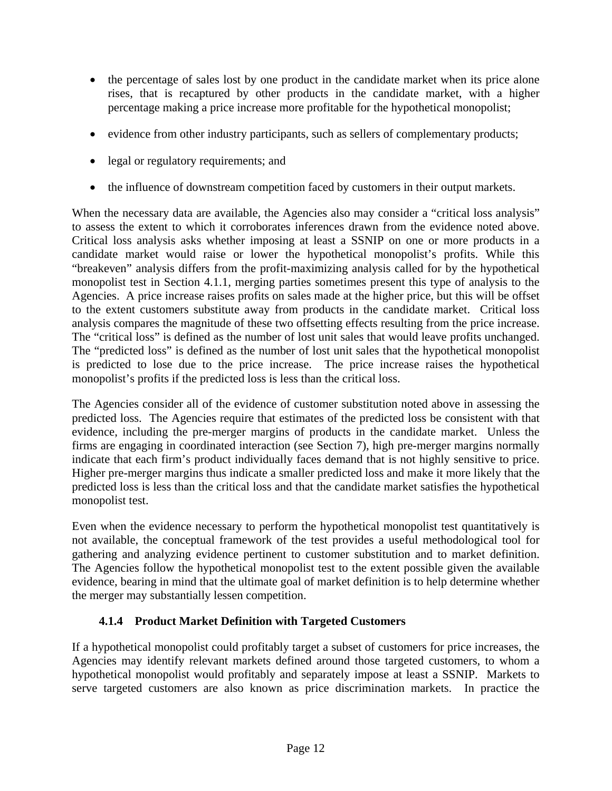- the percentage of sales lost by one product in the candidate market when its price alone rises, that is recaptured by other products in the candidate market, with a higher percentage making a price increase more profitable for the hypothetical monopolist;
- evidence from other industry participants, such as sellers of complementary products;
- legal or regulatory requirements; and
- the influence of downstream competition faced by customers in their output markets.

When the necessary data are available, the Agencies also may consider a "critical loss analysis" to assess the extent to which it corroborates inferences drawn from the evidence noted above. Critical loss analysis asks whether imposing at least a SSNIP on one or more products in a candidate market would raise or lower the hypothetical monopolist's profits. While this "breakeven" analysis differs from the profit-maximizing analysis called for by the hypothetical monopolist test in Section 4.1.1, merging parties sometimes present this type of analysis to the Agencies. A price increase raises profits on sales made at the higher price, but this will be offset to the extent customers substitute away from products in the candidate market. Critical loss analysis compares the magnitude of these two offsetting effects resulting from the price increase. The "critical loss" is defined as the number of lost unit sales that would leave profits unchanged. The "predicted loss" is defined as the number of lost unit sales that the hypothetical monopolist is predicted to lose due to the price increase. The price increase raises the hypothetical monopolist's profits if the predicted loss is less than the critical loss.

The Agencies consider all of the evidence of customer substitution noted above in assessing the predicted loss. The Agencies require that estimates of the predicted loss be consistent with that evidence, including the pre-merger margins of products in the candidate market. Unless the firms are engaging in coordinated interaction (see Section 7), high pre-merger margins normally indicate that each firm's product individually faces demand that is not highly sensitive to price. Higher pre-merger margins thus indicate a smaller predicted loss and make it more likely that the predicted loss is less than the critical loss and that the candidate market satisfies the hypothetical monopolist test.

Even when the evidence necessary to perform the hypothetical monopolist test quantitatively is not available, the conceptual framework of the test provides a useful methodological tool for gathering and analyzing evidence pertinent to customer substitution and to market definition. The Agencies follow the hypothetical monopolist test to the extent possible given the available evidence, bearing in mind that the ultimate goal of market definition is to help determine whether the merger may substantially lessen competition.

## **4.1.4 Product Market Definition with Targeted Customers**

If a hypothetical monopolist could profitably target a subset of customers for price increases, the Agencies may identify relevant markets defined around those targeted customers, to whom a hypothetical monopolist would profitably and separately impose at least a SSNIP. Markets to serve targeted customers are also known as price discrimination markets. In practice the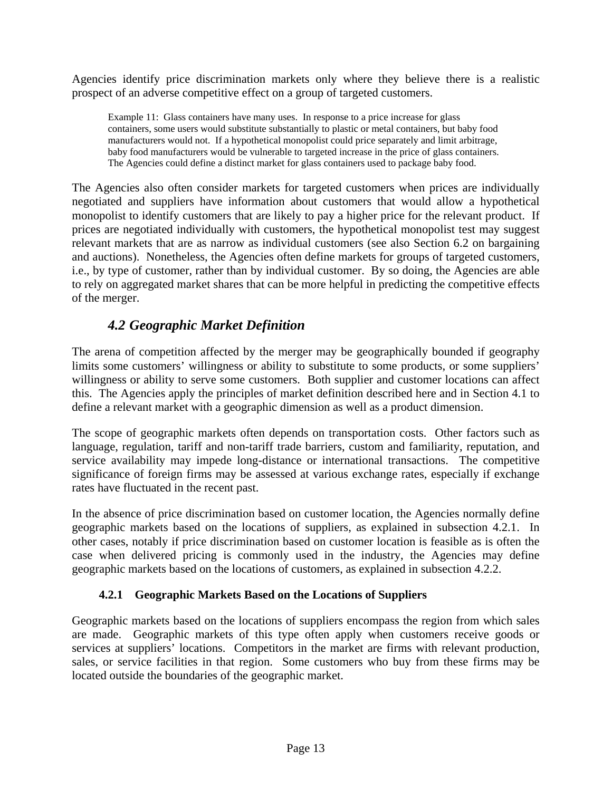Agencies identify price discrimination markets only where they believe there is a realistic prospect of an adverse competitive effect on a group of targeted customers.

Example 11: Glass containers have many uses. In response to a price increase for glass containers, some users would substitute substantially to plastic or metal containers, but baby food manufacturers would not. If a hypothetical monopolist could price separately and limit arbitrage, baby food manufacturers would be vulnerable to targeted increase in the price of glass containers. The Agencies could define a distinct market for glass containers used to package baby food.

The Agencies also often consider markets for targeted customers when prices are individually negotiated and suppliers have information about customers that would allow a hypothetical monopolist to identify customers that are likely to pay a higher price for the relevant product. If prices are negotiated individually with customers, the hypothetical monopolist test may suggest relevant markets that are as narrow as individual customers (see also Section 6.2 on bargaining and auctions). Nonetheless, the Agencies often define markets for groups of targeted customers, i.e., by type of customer, rather than by individual customer. By so doing, the Agencies are able to rely on aggregated market shares that can be more helpful in predicting the competitive effects of the merger.

# *4.2 Geographic Market Definition*

The arena of competition affected by the merger may be geographically bounded if geography limits some customers' willingness or ability to substitute to some products, or some suppliers' willingness or ability to serve some customers. Both supplier and customer locations can affect this. The Agencies apply the principles of market definition described here and in Section 4.1 to define a relevant market with a geographic dimension as well as a product dimension.

The scope of geographic markets often depends on transportation costs. Other factors such as language, regulation, tariff and non-tariff trade barriers, custom and familiarity, reputation, and service availability may impede long-distance or international transactions. The competitive significance of foreign firms may be assessed at various exchange rates, especially if exchange rates have fluctuated in the recent past.

In the absence of price discrimination based on customer location, the Agencies normally define geographic markets based on the locations of suppliers, as explained in subsection 4.2.1. In other cases, notably if price discrimination based on customer location is feasible as is often the case when delivered pricing is commonly used in the industry, the Agencies may define geographic markets based on the locations of customers, as explained in subsection 4.2.2.

#### **4.2.1 Geographic Markets Based on the Locations of Suppliers**

Geographic markets based on the locations of suppliers encompass the region from which sales are made. Geographic markets of this type often apply when customers receive goods or services at suppliers' locations. Competitors in the market are firms with relevant production, sales, or service facilities in that region. Some customers who buy from these firms may be located outside the boundaries of the geographic market.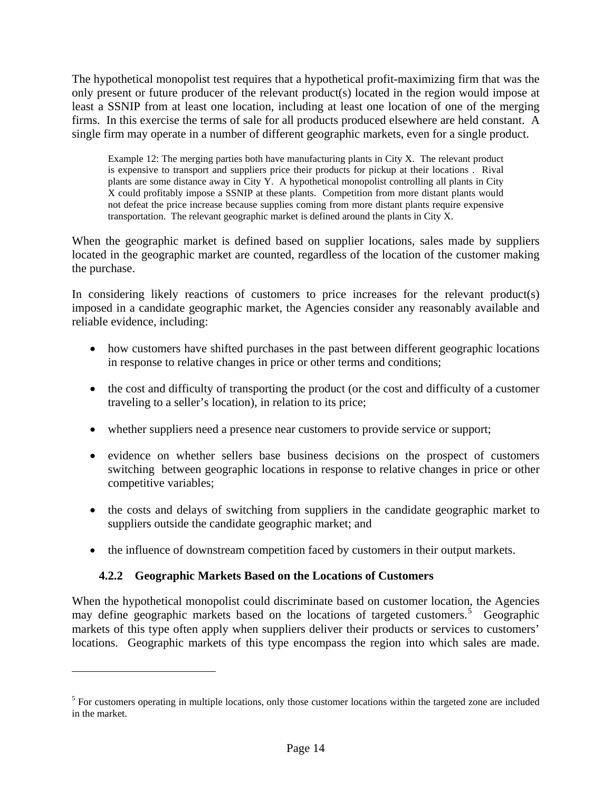The hypothetical monopolist test requires that a hypothetical profit-maximizing firm that was the only present or future producer of the relevant product(s) located in the region would impose at least a SSNIP from at least one location, including at least one location of one of the merging firms. In this exercise the terms of sale for all products produced elsewhere are held constant. A single firm may operate in a number of different geographic markets, even for a single product.

Example 12: The merging parties both have manufacturing plants in City X. The relevant product is expensive to transport and suppliers price their products for pickup at their locations . Rival plants are some distance away in City Y. A hypothetical monopolist controlling all plants in City X could profitably impose a SSNIP at these plants. Competition from more distant plants would not defeat the price increase because supplies coming from more distant plants require expensive transportation. The relevant geographic market is defined around the plants in City X.

When the geographic market is defined based on supplier locations, sales made by suppliers located in the geographic market are counted, regardless of the location of the customer making the purchase.

In considering likely reactions of customers to price increases for the relevant product(s) imposed in a candidate geographic market, the Agencies consider any reasonably available and reliable evidence, including:

- how customers have shifted purchases in the past between different geographic locations in response to relative changes in price or other terms and conditions;
- the cost and difficulty of transporting the product (or the cost and difficulty of a customer traveling to a seller's location), in relation to its price;
- whether suppliers need a presence near customers to provide service or support;
- evidence on whether sellers base business decisions on the prospect of customers switching between geographic locations in response to relative changes in price or other competitive variables;
- the costs and delays of switching from suppliers in the candidate geographic market to suppliers outside the candidate geographic market; and
- the influence of downstream competition faced by customers in their output markets.

#### **4.2.2 Geographic Markets Based on the Locations of Customers**

<u>.</u>

When the hypothetical monopolist could discriminate based on customer location, the Agencies may define geographic markets based on the locations of targeted customers.<sup>[5](#page-13-0)</sup> Geographic markets of this type often apply when suppliers deliver their products or services to customers' locations. Geographic markets of this type encompass the region into which sales are made.

<span id="page-13-0"></span> $<sup>5</sup>$  For customers operating in multiple locations, only those customer locations within the targeted zone are included</sup> in the market.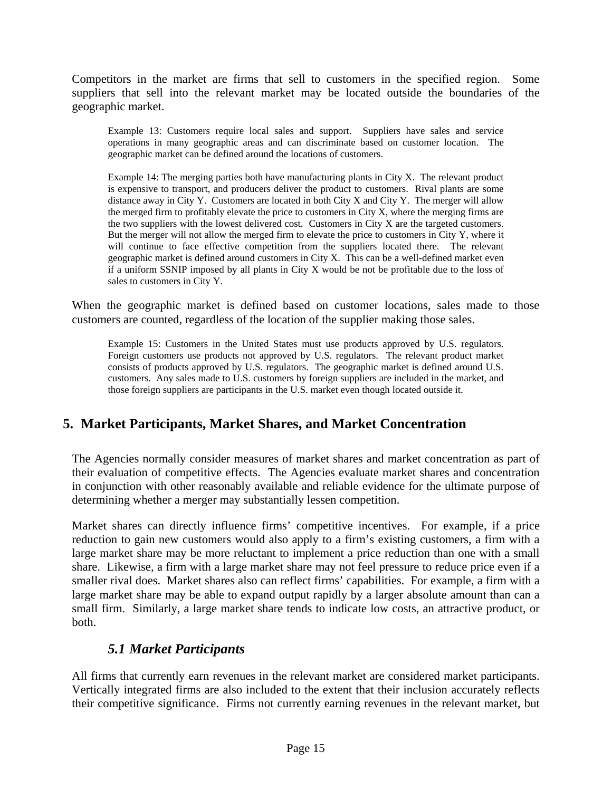Competitors in the market are firms that sell to customers in the specified region. Some suppliers that sell into the relevant market may be located outside the boundaries of the geographic market.

Example 13: Customers require local sales and support. Suppliers have sales and service operations in many geographic areas and can discriminate based on customer location. The geographic market can be defined around the locations of customers.

Example 14: The merging parties both have manufacturing plants in City X. The relevant product is expensive to transport, and producers deliver the product to customers. Rival plants are some distance away in City Y. Customers are located in both City X and City Y. The merger will allow the merged firm to profitably elevate the price to customers in City  $X$ , where the merging firms are the two suppliers with the lowest delivered cost. Customers in City X are the targeted customers. But the merger will not allow the merged firm to elevate the price to customers in City Y, where it will continue to face effective competition from the suppliers located there. The relevant geographic market is defined around customers in City X. This can be a well-defined market even if a uniform SSNIP imposed by all plants in City X would be not be profitable due to the loss of sales to customers in City Y.

When the geographic market is defined based on customer locations, sales made to those customers are counted, regardless of the location of the supplier making those sales.

Example 15: Customers in the United States must use products approved by U.S. regulators. Foreign customers use products not approved by U.S. regulators. The relevant product market consists of products approved by U.S. regulators. The geographic market is defined around U.S. customers. Any sales made to U.S. customers by foreign suppliers are included in the market, and those foreign suppliers are participants in the U.S. market even though located outside it.

## **5. Market Participants, Market Shares, and Market Concentration**

The Agencies normally consider measures of market shares and market concentration as part of their evaluation of competitive effects. The Agencies evaluate market shares and concentration in conjunction with other reasonably available and reliable evidence for the ultimate purpose of determining whether a merger may substantially lessen competition.

Market shares can directly influence firms' competitive incentives. For example, if a price reduction to gain new customers would also apply to a firm's existing customers, a firm with a large market share may be more reluctant to implement a price reduction than one with a small share. Likewise, a firm with a large market share may not feel pressure to reduce price even if a smaller rival does. Market shares also can reflect firms' capabilities. For example, a firm with a large market share may be able to expand output rapidly by a larger absolute amount than can a small firm. Similarly, a large market share tends to indicate low costs, an attractive product, or both.

## *5.1 Market Participants*

All firms that currently earn revenues in the relevant market are considered market participants. Vertically integrated firms are also included to the extent that their inclusion accurately reflects their competitive significance. Firms not currently earning revenues in the relevant market, but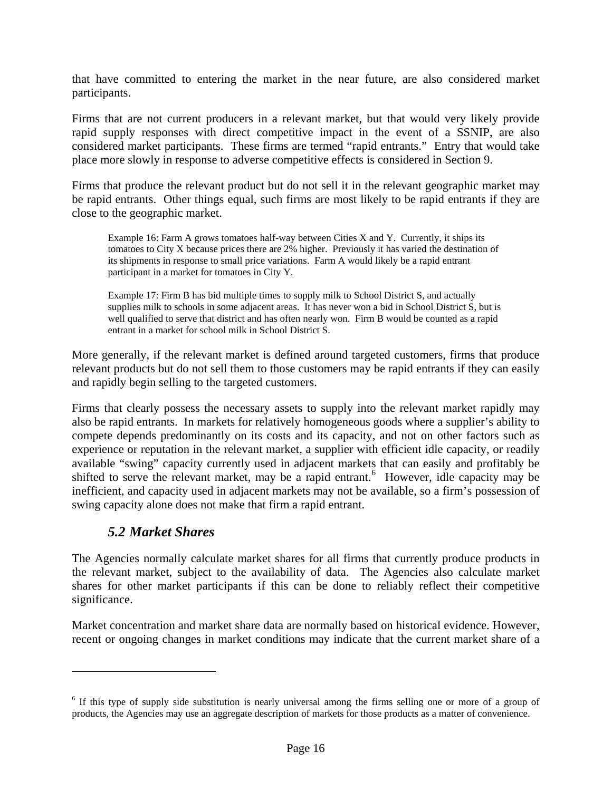that have committed to entering the market in the near future, are also considered market participants.

Firms that are not current producers in a relevant market, but that would very likely provide rapid supply responses with direct competitive impact in the event of a SSNIP, are also considered market participants. These firms are termed "rapid entrants." Entry that would take place more slowly in response to adverse competitive effects is considered in Section 9.

Firms that produce the relevant product but do not sell it in the relevant geographic market may be rapid entrants. Other things equal, such firms are most likely to be rapid entrants if they are close to the geographic market.

Example 16: Farm A grows tomatoes half-way between Cities X and Y. Currently, it ships its tomatoes to City X because prices there are 2% higher. Previously it has varied the destination of its shipments in response to small price variations. Farm A would likely be a rapid entrant participant in a market for tomatoes in City Y.

Example 17: Firm B has bid multiple times to supply milk to School District S, and actually supplies milk to schools in some adjacent areas. It has never won a bid in School District S, but is well qualified to serve that district and has often nearly won. Firm B would be counted as a rapid entrant in a market for school milk in School District S.

More generally, if the relevant market is defined around targeted customers, firms that produce relevant products but do not sell them to those customers may be rapid entrants if they can easily and rapidly begin selling to the targeted customers.

Firms that clearly possess the necessary assets to supply into the relevant market rapidly may also be rapid entrants. In markets for relatively homogeneous goods where a supplier's ability to compete depends predominantly on its costs and its capacity, and not on other factors such as experience or reputation in the relevant market, a supplier with efficient idle capacity, or readily available "swing" capacity currently used in adjacent markets that can easily and profitably be shifted to serve the relevant market, may be a rapid entrant.<sup>[6](#page-15-0)</sup> However, idle capacity may be inefficient, and capacity used in adjacent markets may not be available, so a firm's possession of swing capacity alone does not make that firm a rapid entrant.

## *5.2 Market Shares*

 $\overline{a}$ 

The Agencies normally calculate market shares for all firms that currently produce products in the relevant market, subject to the availability of data. The Agencies also calculate market shares for other market participants if this can be done to reliably reflect their competitive significance.

Market concentration and market share data are normally based on historical evidence. However, recent or ongoing changes in market conditions may indicate that the current market share of a

<span id="page-15-0"></span><sup>&</sup>lt;sup>6</sup> If this type of supply side substitution is nearly universal among the firms selling one or more of a group of products, the Agencies may use an aggregate description of markets for those products as a matter of convenience.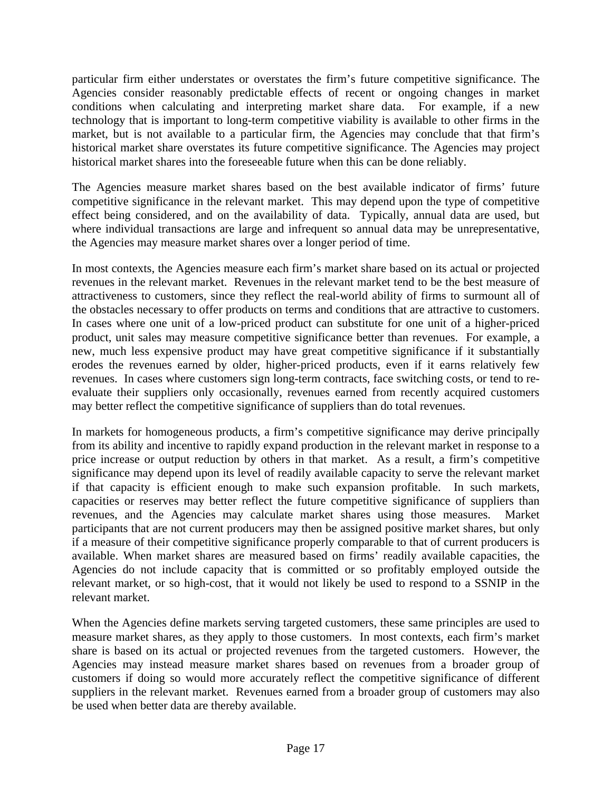particular firm either understates or overstates the firm's future competitive significance. The Agencies consider reasonably predictable effects of recent or ongoing changes in market conditions when calculating and interpreting market share data. For example, if a new technology that is important to long-term competitive viability is available to other firms in the market, but is not available to a particular firm, the Agencies may conclude that that firm's historical market share overstates its future competitive significance. The Agencies may project historical market shares into the foreseeable future when this can be done reliably.

The Agencies measure market shares based on the best available indicator of firms' future competitive significance in the relevant market. This may depend upon the type of competitive effect being considered, and on the availability of data. Typically, annual data are used, but where individual transactions are large and infrequent so annual data may be unrepresentative, the Agencies may measure market shares over a longer period of time.

In most contexts, the Agencies measure each firm's market share based on its actual or projected revenues in the relevant market. Revenues in the relevant market tend to be the best measure of attractiveness to customers, since they reflect the real-world ability of firms to surmount all of the obstacles necessary to offer products on terms and conditions that are attractive to customers. In cases where one unit of a low-priced product can substitute for one unit of a higher-priced product, unit sales may measure competitive significance better than revenues. For example, a new, much less expensive product may have great competitive significance if it substantially erodes the revenues earned by older, higher-priced products, even if it earns relatively few revenues. In cases where customers sign long-term contracts, face switching costs, or tend to reevaluate their suppliers only occasionally, revenues earned from recently acquired customers may better reflect the competitive significance of suppliers than do total revenues.

In markets for homogeneous products, a firm's competitive significance may derive principally from its ability and incentive to rapidly expand production in the relevant market in response to a price increase or output reduction by others in that market. As a result, a firm's competitive significance may depend upon its level of readily available capacity to serve the relevant market if that capacity is efficient enough to make such expansion profitable. In such markets, capacities or reserves may better reflect the future competitive significance of suppliers than revenues, and the Agencies may calculate market shares using those measures. Market participants that are not current producers may then be assigned positive market shares, but only if a measure of their competitive significance properly comparable to that of current producers is available. When market shares are measured based on firms' readily available capacities, the Agencies do not include capacity that is committed or so profitably employed outside the relevant market, or so high-cost, that it would not likely be used to respond to a SSNIP in the relevant market.

When the Agencies define markets serving targeted customers, these same principles are used to measure market shares, as they apply to those customers. In most contexts, each firm's market share is based on its actual or projected revenues from the targeted customers. However, the Agencies may instead measure market shares based on revenues from a broader group of customers if doing so would more accurately reflect the competitive significance of different suppliers in the relevant market. Revenues earned from a broader group of customers may also be used when better data are thereby available.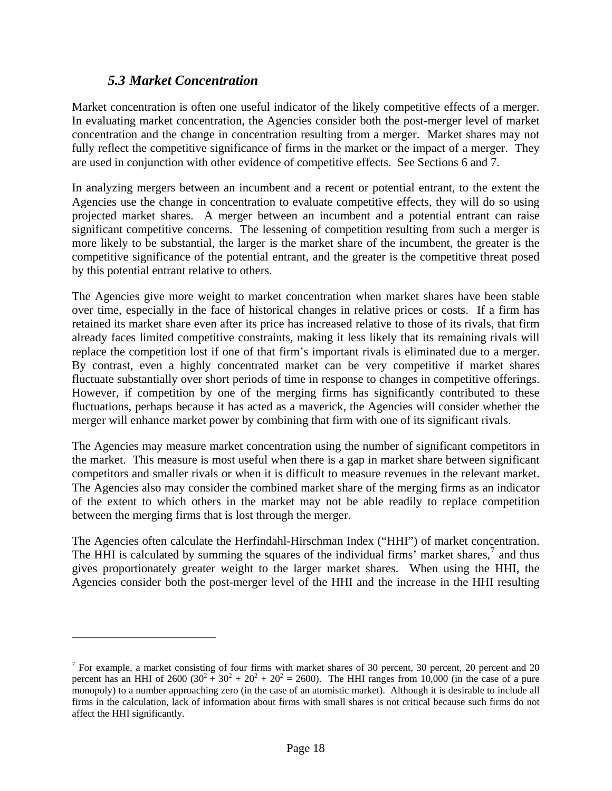#### *5.3 Market Concentration*

 $\overline{a}$ 

Market concentration is often one useful indicator of the likely competitive effects of a merger. In evaluating market concentration, the Agencies consider both the post-merger level of market concentration and the change in concentration resulting from a merger. Market shares may not fully reflect the competitive significance of firms in the market or the impact of a merger. They are used in conjunction with other evidence of competitive effects. See Sections 6 and 7.

In analyzing mergers between an incumbent and a recent or potential entrant, to the extent the Agencies use the change in concentration to evaluate competitive effects, they will do so using projected market shares. A merger between an incumbent and a potential entrant can raise significant competitive concerns. The lessening of competition resulting from such a merger is more likely to be substantial, the larger is the market share of the incumbent, the greater is the competitive significance of the potential entrant, and the greater is the competitive threat posed by this potential entrant relative to others.

The Agencies give more weight to market concentration when market shares have been stable over time, especially in the face of historical changes in relative prices or costs. If a firm has retained its market share even after its price has increased relative to those of its rivals, that firm already faces limited competitive constraints, making it less likely that its remaining rivals will replace the competition lost if one of that firm's important rivals is eliminated due to a merger. By contrast, even a highly concentrated market can be very competitive if market shares fluctuate substantially over short periods of time in response to changes in competitive offerings. However, if competition by one of the merging firms has significantly contributed to these fluctuations, perhaps because it has acted as a maverick, the Agencies will consider whether the merger will enhance market power by combining that firm with one of its significant rivals.

The Agencies may measure market concentration using the number of significant competitors in the market. This measure is most useful when there is a gap in market share between significant competitors and smaller rivals or when it is difficult to measure revenues in the relevant market. The Agencies also may consider the combined market share of the merging firms as an indicator of the extent to which others in the market may not be able readily to replace competition between the merging firms that is lost through the merger.

The Agencies often calculate the Herfindahl-Hirschman Index ("HHI") of market concentration. The HHI is calculated by summing the squares of the individual firms' market shares,<sup>[7](#page-17-0)</sup> and thus gives proportionately greater weight to the larger market shares. When using the HHI, the Agencies consider both the post-merger level of the HHI and the increase in the HHI resulting

<span id="page-17-0"></span><sup>&</sup>lt;sup>7</sup> For example, a market consisting of four firms with market shares of 30 percent, 30 percent, 20 percent and 20 percent has an HHI of  $2600 (30^2 + 30^2 + 20^2 + 20^2 = 2600)$ . The HHI ranges from 10,000 (in the case of a pure monopoly) to a number approaching zero (in the case of an atomistic market). Although it is desirable to include all firms in the calculation, lack of information about firms with small shares is not critical because such firms do not affect the HHI significantly.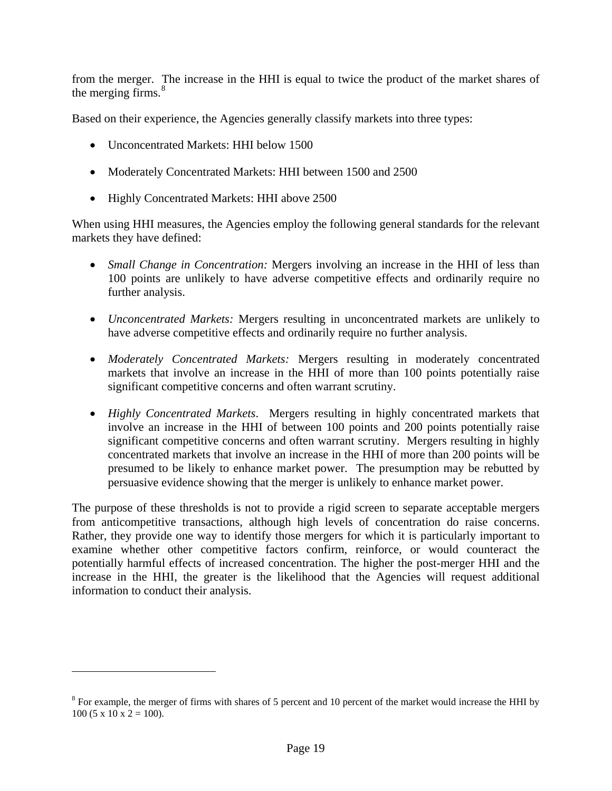from the merger. The increase in the HHI is equal to twice the product of the market shares of the merging firms. $8$ 

Based on their experience, the Agencies generally classify markets into three types:

• Unconcentrated Markets: HHI below 1500

 $\overline{a}$ 

- Moderately Concentrated Markets: HHI between 1500 and 2500
- Highly Concentrated Markets: HHI above 2500

When using HHI measures, the Agencies employ the following general standards for the relevant markets they have defined:

- *Small Change in Concentration:* Mergers involving an increase in the HHI of less than 100 points are unlikely to have adverse competitive effects and ordinarily require no further analysis.
- *Unconcentrated Markets:* Mergers resulting in unconcentrated markets are unlikely to have adverse competitive effects and ordinarily require no further analysis.
- *Moderately Concentrated Markets:* Mergers resulting in moderately concentrated markets that involve an increase in the HHI of more than 100 points potentially raise significant competitive concerns and often warrant scrutiny.
- *Highly Concentrated Markets*. Mergers resulting in highly concentrated markets that involve an increase in the HHI of between 100 points and 200 points potentially raise significant competitive concerns and often warrant scrutiny. Mergers resulting in highly concentrated markets that involve an increase in the HHI of more than 200 points will be presumed to be likely to enhance market power. The presumption may be rebutted by persuasive evidence showing that the merger is unlikely to enhance market power.

The purpose of these thresholds is not to provide a rigid screen to separate acceptable mergers from anticompetitive transactions, although high levels of concentration do raise concerns. Rather, they provide one way to identify those mergers for which it is particularly important to examine whether other competitive factors confirm, reinforce, or would counteract the potentially harmful effects of increased concentration. The higher the post-merger HHI and the increase in the HHI, the greater is the likelihood that the Agencies will request additional information to conduct their analysis.

<span id="page-18-0"></span> $8$  For example, the merger of firms with shares of 5 percent and 10 percent of the market would increase the HHI by 100 (5 x 10 x 2 = 100).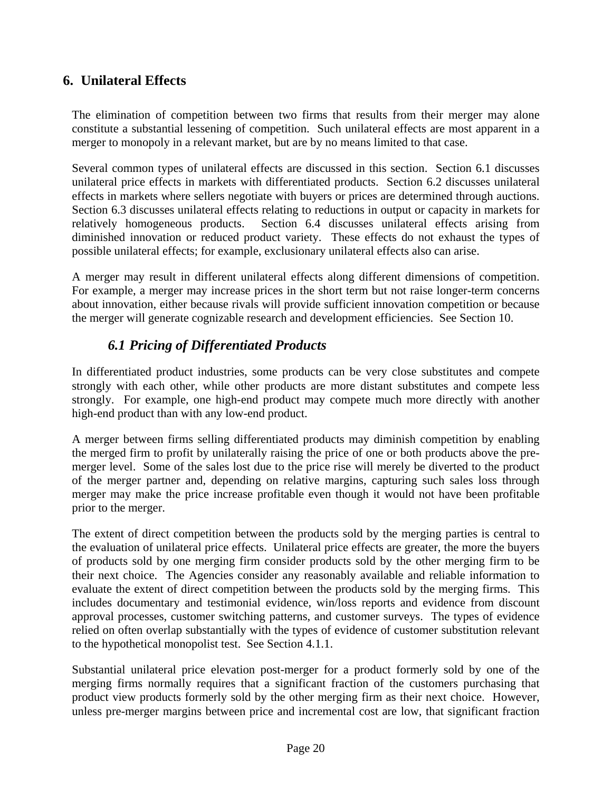# **6. Unilateral Effects**

The elimination of competition between two firms that results from their merger may alone constitute a substantial lessening of competition. Such unilateral effects are most apparent in a merger to monopoly in a relevant market, but are by no means limited to that case.

Several common types of unilateral effects are discussed in this section. Section 6.1 discusses unilateral price effects in markets with differentiated products. Section 6.2 discusses unilateral effects in markets where sellers negotiate with buyers or prices are determined through auctions. Section 6.3 discusses unilateral effects relating to reductions in output or capacity in markets for relatively homogeneous products. Section 6.4 discusses unilateral effects arising from diminished innovation or reduced product variety. These effects do not exhaust the types of possible unilateral effects; for example, exclusionary unilateral effects also can arise.

A merger may result in different unilateral effects along different dimensions of competition. For example, a merger may increase prices in the short term but not raise longer-term concerns about innovation, either because rivals will provide sufficient innovation competition or because the merger will generate cognizable research and development efficiencies. See Section 10.

## *6.1 Pricing of Differentiated Products*

In differentiated product industries, some products can be very close substitutes and compete strongly with each other, while other products are more distant substitutes and compete less strongly. For example, one high-end product may compete much more directly with another high-end product than with any low-end product.

A merger between firms selling differentiated products may diminish competition by enabling the merged firm to profit by unilaterally raising the price of one or both products above the premerger level. Some of the sales lost due to the price rise will merely be diverted to the product of the merger partner and, depending on relative margins, capturing such sales loss through merger may make the price increase profitable even though it would not have been profitable prior to the merger.

The extent of direct competition between the products sold by the merging parties is central to the evaluation of unilateral price effects. Unilateral price effects are greater, the more the buyers of products sold by one merging firm consider products sold by the other merging firm to be their next choice. The Agencies consider any reasonably available and reliable information to evaluate the extent of direct competition between the products sold by the merging firms. This includes documentary and testimonial evidence, win/loss reports and evidence from discount approval processes, customer switching patterns, and customer surveys. The types of evidence relied on often overlap substantially with the types of evidence of customer substitution relevant to the hypothetical monopolist test. See Section 4.1.1.

Substantial unilateral price elevation post-merger for a product formerly sold by one of the merging firms normally requires that a significant fraction of the customers purchasing that product view products formerly sold by the other merging firm as their next choice. However, unless pre-merger margins between price and incremental cost are low, that significant fraction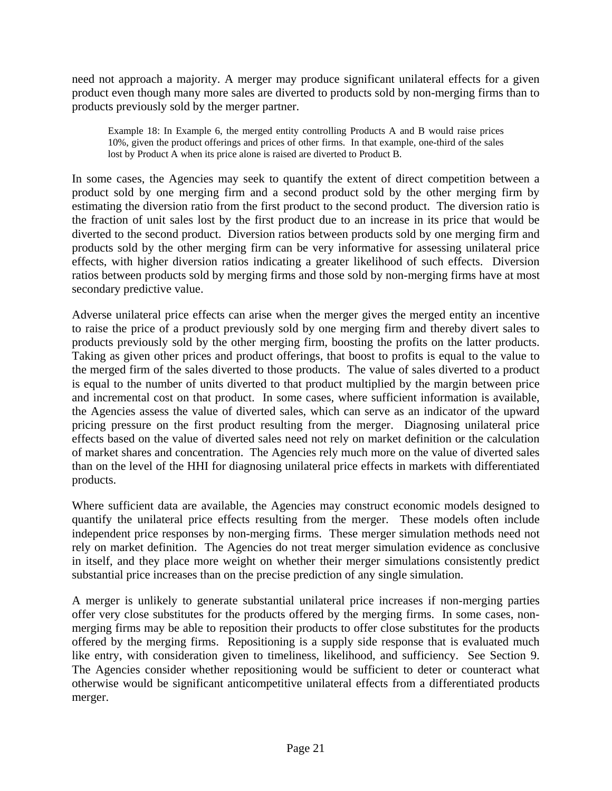need not approach a majority. A merger may produce significant unilateral effects for a given product even though many more sales are diverted to products sold by non-merging firms than to products previously sold by the merger partner.

Example 18: In Example 6, the merged entity controlling Products A and B would raise prices 10%, given the product offerings and prices of other firms. In that example, one-third of the sales lost by Product A when its price alone is raised are diverted to Product B.

In some cases, the Agencies may seek to quantify the extent of direct competition between a product sold by one merging firm and a second product sold by the other merging firm by estimating the diversion ratio from the first product to the second product. The diversion ratio is the fraction of unit sales lost by the first product due to an increase in its price that would be diverted to the second product. Diversion ratios between products sold by one merging firm and products sold by the other merging firm can be very informative for assessing unilateral price effects, with higher diversion ratios indicating a greater likelihood of such effects. Diversion ratios between products sold by merging firms and those sold by non-merging firms have at most secondary predictive value.

Adverse unilateral price effects can arise when the merger gives the merged entity an incentive to raise the price of a product previously sold by one merging firm and thereby divert sales to products previously sold by the other merging firm, boosting the profits on the latter products. Taking as given other prices and product offerings, that boost to profits is equal to the value to the merged firm of the sales diverted to those products. The value of sales diverted to a product is equal to the number of units diverted to that product multiplied by the margin between price and incremental cost on that product. In some cases, where sufficient information is available, the Agencies assess the value of diverted sales, which can serve as an indicator of the upward pricing pressure on the first product resulting from the merger. Diagnosing unilateral price effects based on the value of diverted sales need not rely on market definition or the calculation of market shares and concentration. The Agencies rely much more on the value of diverted sales than on the level of the HHI for diagnosing unilateral price effects in markets with differentiated products.

Where sufficient data are available, the Agencies may construct economic models designed to quantify the unilateral price effects resulting from the merger. These models often include independent price responses by non-merging firms. These merger simulation methods need not rely on market definition. The Agencies do not treat merger simulation evidence as conclusive in itself, and they place more weight on whether their merger simulations consistently predict substantial price increases than on the precise prediction of any single simulation.

A merger is unlikely to generate substantial unilateral price increases if non-merging parties offer very close substitutes for the products offered by the merging firms. In some cases, nonmerging firms may be able to reposition their products to offer close substitutes for the products offered by the merging firms. Repositioning is a supply side response that is evaluated much like entry, with consideration given to timeliness, likelihood, and sufficiency. See Section 9. The Agencies consider whether repositioning would be sufficient to deter or counteract what otherwise would be significant anticompetitive unilateral effects from a differentiated products merger.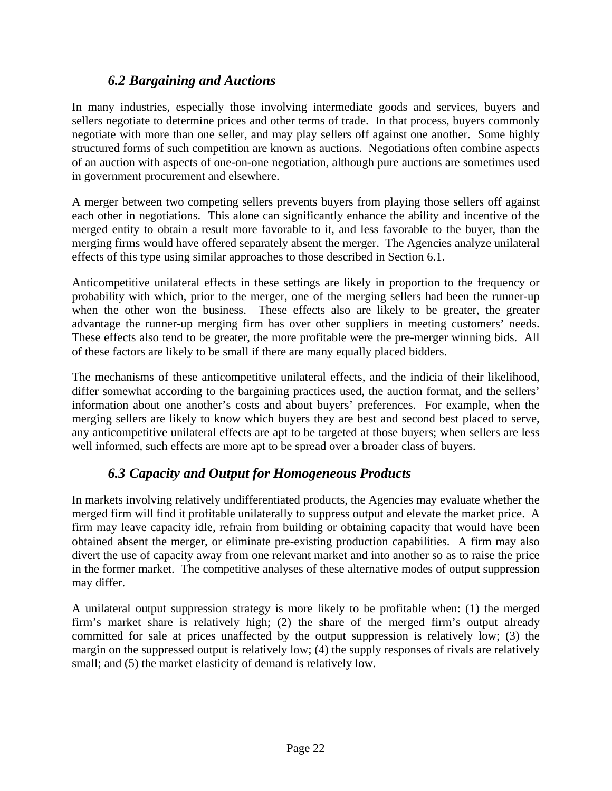## *6.2 Bargaining and Auctions*

In many industries, especially those involving intermediate goods and services, buyers and sellers negotiate to determine prices and other terms of trade. In that process, buyers commonly negotiate with more than one seller, and may play sellers off against one another. Some highly structured forms of such competition are known as auctions. Negotiations often combine aspects of an auction with aspects of one-on-one negotiation, although pure auctions are sometimes used in government procurement and elsewhere.

A merger between two competing sellers prevents buyers from playing those sellers off against each other in negotiations. This alone can significantly enhance the ability and incentive of the merged entity to obtain a result more favorable to it, and less favorable to the buyer, than the merging firms would have offered separately absent the merger. The Agencies analyze unilateral effects of this type using similar approaches to those described in Section 6.1.

Anticompetitive unilateral effects in these settings are likely in proportion to the frequency or probability with which, prior to the merger, one of the merging sellers had been the runner-up when the other won the business. These effects also are likely to be greater, the greater advantage the runner-up merging firm has over other suppliers in meeting customers' needs. These effects also tend to be greater, the more profitable were the pre-merger winning bids. All of these factors are likely to be small if there are many equally placed bidders.

The mechanisms of these anticompetitive unilateral effects, and the indicia of their likelihood, differ somewhat according to the bargaining practices used, the auction format, and the sellers' information about one another's costs and about buyers' preferences. For example, when the merging sellers are likely to know which buyers they are best and second best placed to serve, any anticompetitive unilateral effects are apt to be targeted at those buyers; when sellers are less well informed, such effects are more apt to be spread over a broader class of buyers.

# *6.3 Capacity and Output for Homogeneous Products*

In markets involving relatively undifferentiated products, the Agencies may evaluate whether the merged firm will find it profitable unilaterally to suppress output and elevate the market price. A firm may leave capacity idle, refrain from building or obtaining capacity that would have been obtained absent the merger, or eliminate pre-existing production capabilities. A firm may also divert the use of capacity away from one relevant market and into another so as to raise the price in the former market. The competitive analyses of these alternative modes of output suppression may differ.

A unilateral output suppression strategy is more likely to be profitable when: (1) the merged firm's market share is relatively high; (2) the share of the merged firm's output already committed for sale at prices unaffected by the output suppression is relatively low; (3) the margin on the suppressed output is relatively low; (4) the supply responses of rivals are relatively small; and  $(5)$  the market elasticity of demand is relatively low.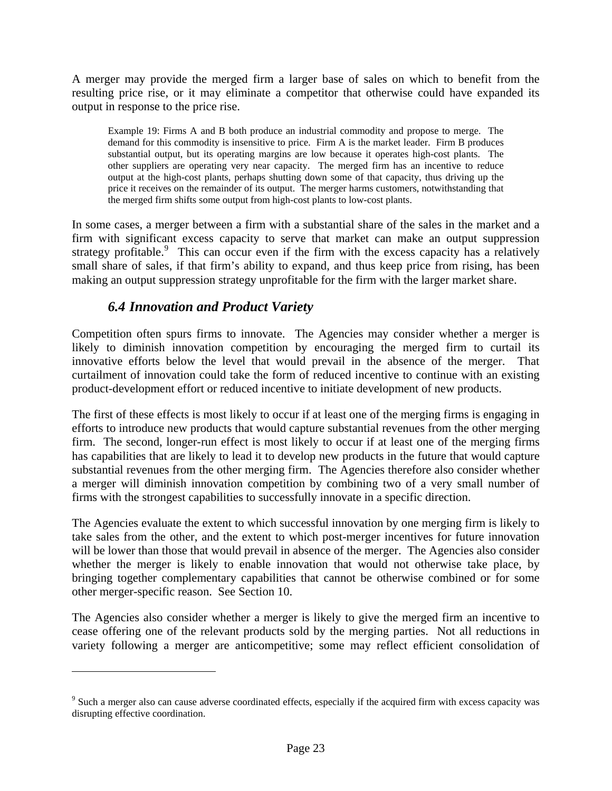A merger may provide the merged firm a larger base of sales on which to benefit from the resulting price rise, or it may eliminate a competitor that otherwise could have expanded its output in response to the price rise.

Example 19: Firms A and B both produce an industrial commodity and propose to merge. The demand for this commodity is insensitive to price. Firm A is the market leader. Firm B produces substantial output, but its operating margins are low because it operates high-cost plants. The other suppliers are operating very near capacity. The merged firm has an incentive to reduce output at the high-cost plants, perhaps shutting down some of that capacity, thus driving up the price it receives on the remainder of its output. The merger harms customers, notwithstanding that the merged firm shifts some output from high-cost plants to low-cost plants.

In some cases, a merger between a firm with a substantial share of the sales in the market and a firm with significant excess capacity to serve that market can make an output suppression strategy profitable.<sup>[9](#page-22-0)</sup> This can occur even if the firm with the excess capacity has a relatively small share of sales, if that firm's ability to expand, and thus keep price from rising, has been making an output suppression strategy unprofitable for the firm with the larger market share.

## *6.4 Innovation and Product Variety*

 $\overline{a}$ 

Competition often spurs firms to innovate. The Agencies may consider whether a merger is likely to diminish innovation competition by encouraging the merged firm to curtail its innovative efforts below the level that would prevail in the absence of the merger. That curtailment of innovation could take the form of reduced incentive to continue with an existing product-development effort or reduced incentive to initiate development of new products.

The first of these effects is most likely to occur if at least one of the merging firms is engaging in efforts to introduce new products that would capture substantial revenues from the other merging firm. The second, longer-run effect is most likely to occur if at least one of the merging firms has capabilities that are likely to lead it to develop new products in the future that would capture substantial revenues from the other merging firm. The Agencies therefore also consider whether a merger will diminish innovation competition by combining two of a very small number of firms with the strongest capabilities to successfully innovate in a specific direction.

The Agencies evaluate the extent to which successful innovation by one merging firm is likely to take sales from the other, and the extent to which post-merger incentives for future innovation will be lower than those that would prevail in absence of the merger. The Agencies also consider whether the merger is likely to enable innovation that would not otherwise take place, by bringing together complementary capabilities that cannot be otherwise combined or for some other merger-specific reason. See Section 10.

The Agencies also consider whether a merger is likely to give the merged firm an incentive to cease offering one of the relevant products sold by the merging parties. Not all reductions in variety following a merger are anticompetitive; some may reflect efficient consolidation of

<span id="page-22-0"></span><sup>&</sup>lt;sup>9</sup> Such a merger also can cause adverse coordinated effects, especially if the acquired firm with excess capacity was disrupting effective coordination.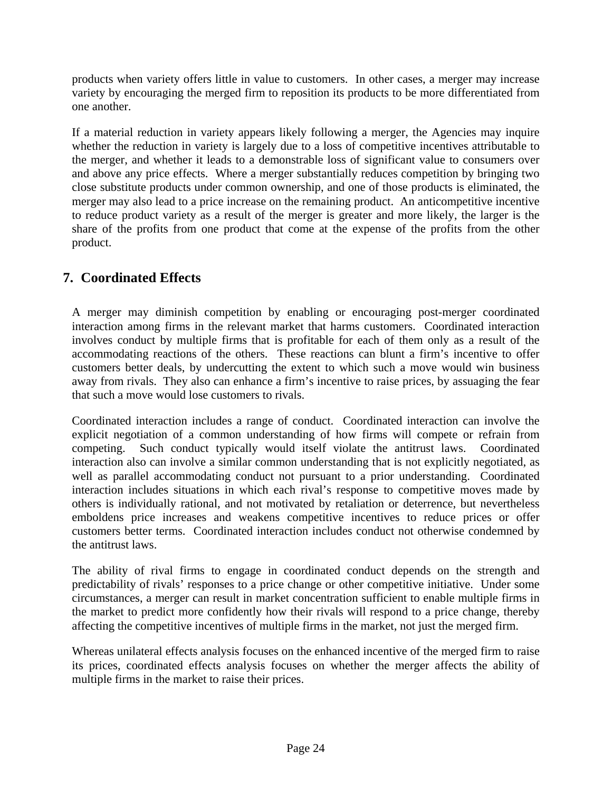products when variety offers little in value to customers. In other cases, a merger may increase variety by encouraging the merged firm to reposition its products to be more differentiated from one another.

If a material reduction in variety appears likely following a merger, the Agencies may inquire whether the reduction in variety is largely due to a loss of competitive incentives attributable to the merger, and whether it leads to a demonstrable loss of significant value to consumers over and above any price effects. Where a merger substantially reduces competition by bringing two close substitute products under common ownership, and one of those products is eliminated, the merger may also lead to a price increase on the remaining product. An anticompetitive incentive to reduce product variety as a result of the merger is greater and more likely, the larger is the share of the profits from one product that come at the expense of the profits from the other product.

# **7. Coordinated Effects**

A merger may diminish competition by enabling or encouraging post-merger coordinated interaction among firms in the relevant market that harms customers. Coordinated interaction involves conduct by multiple firms that is profitable for each of them only as a result of the accommodating reactions of the others. These reactions can blunt a firm's incentive to offer customers better deals, by undercutting the extent to which such a move would win business away from rivals. They also can enhance a firm's incentive to raise prices, by assuaging the fear that such a move would lose customers to rivals.

Coordinated interaction includes a range of conduct. Coordinated interaction can involve the explicit negotiation of a common understanding of how firms will compete or refrain from competing. Such conduct typically would itself violate the antitrust laws. Coordinated interaction also can involve a similar common understanding that is not explicitly negotiated, as well as parallel accommodating conduct not pursuant to a prior understanding. Coordinated interaction includes situations in which each rival's response to competitive moves made by others is individually rational, and not motivated by retaliation or deterrence, but nevertheless emboldens price increases and weakens competitive incentives to reduce prices or offer customers better terms. Coordinated interaction includes conduct not otherwise condemned by the antitrust laws.

The ability of rival firms to engage in coordinated conduct depends on the strength and predictability of rivals' responses to a price change or other competitive initiative. Under some circumstances, a merger can result in market concentration sufficient to enable multiple firms in the market to predict more confidently how their rivals will respond to a price change, thereby affecting the competitive incentives of multiple firms in the market, not just the merged firm.

Whereas unilateral effects analysis focuses on the enhanced incentive of the merged firm to raise its prices, coordinated effects analysis focuses on whether the merger affects the ability of multiple firms in the market to raise their prices.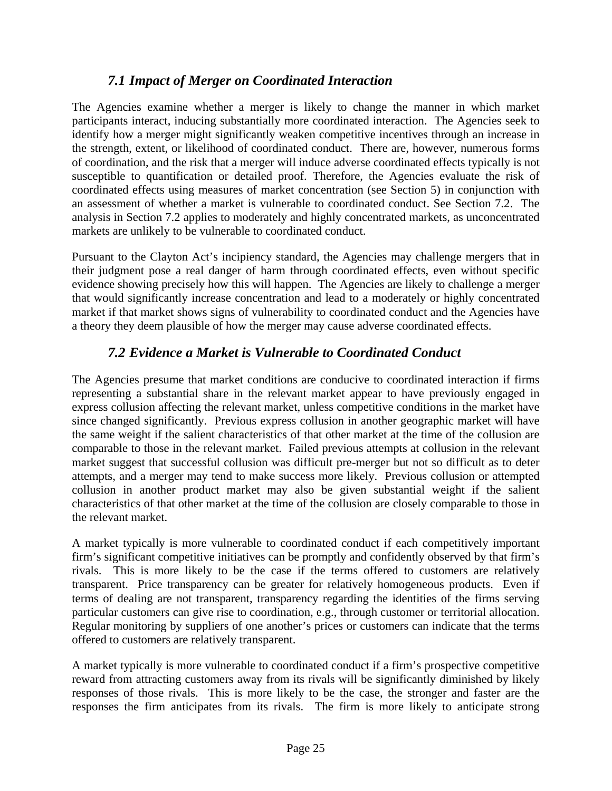## *7.1 Impact of Merger on Coordinated Interaction*

The Agencies examine whether a merger is likely to change the manner in which market participants interact, inducing substantially more coordinated interaction. The Agencies seek to identify how a merger might significantly weaken competitive incentives through an increase in the strength, extent, or likelihood of coordinated conduct. There are, however, numerous forms of coordination, and the risk that a merger will induce adverse coordinated effects typically is not susceptible to quantification or detailed proof. Therefore, the Agencies evaluate the risk of coordinated effects using measures of market concentration (see Section 5) in conjunction with an assessment of whether a market is vulnerable to coordinated conduct. See Section 7.2. The analysis in Section 7.2 applies to moderately and highly concentrated markets, as unconcentrated markets are unlikely to be vulnerable to coordinated conduct.

Pursuant to the Clayton Act's incipiency standard, the Agencies may challenge mergers that in their judgment pose a real danger of harm through coordinated effects, even without specific evidence showing precisely how this will happen. The Agencies are likely to challenge a merger that would significantly increase concentration and lead to a moderately or highly concentrated market if that market shows signs of vulnerability to coordinated conduct and the Agencies have a theory they deem plausible of how the merger may cause adverse coordinated effects.

# *7.2 Evidence a Market is Vulnerable to Coordinated Conduct*

The Agencies presume that market conditions are conducive to coordinated interaction if firms representing a substantial share in the relevant market appear to have previously engaged in express collusion affecting the relevant market, unless competitive conditions in the market have since changed significantly. Previous express collusion in another geographic market will have the same weight if the salient characteristics of that other market at the time of the collusion are comparable to those in the relevant market. Failed previous attempts at collusion in the relevant market suggest that successful collusion was difficult pre-merger but not so difficult as to deter attempts, and a merger may tend to make success more likely. Previous collusion or attempted collusion in another product market may also be given substantial weight if the salient characteristics of that other market at the time of the collusion are closely comparable to those in the relevant market.

A market typically is more vulnerable to coordinated conduct if each competitively important firm's significant competitive initiatives can be promptly and confidently observed by that firm's rivals. This is more likely to be the case if the terms offered to customers are relatively transparent. Price transparency can be greater for relatively homogeneous products. Even if terms of dealing are not transparent, transparency regarding the identities of the firms serving particular customers can give rise to coordination, e.g., through customer or territorial allocation. Regular monitoring by suppliers of one another's prices or customers can indicate that the terms offered to customers are relatively transparent.

A market typically is more vulnerable to coordinated conduct if a firm's prospective competitive reward from attracting customers away from its rivals will be significantly diminished by likely responses of those rivals. This is more likely to be the case, the stronger and faster are the responses the firm anticipates from its rivals. The firm is more likely to anticipate strong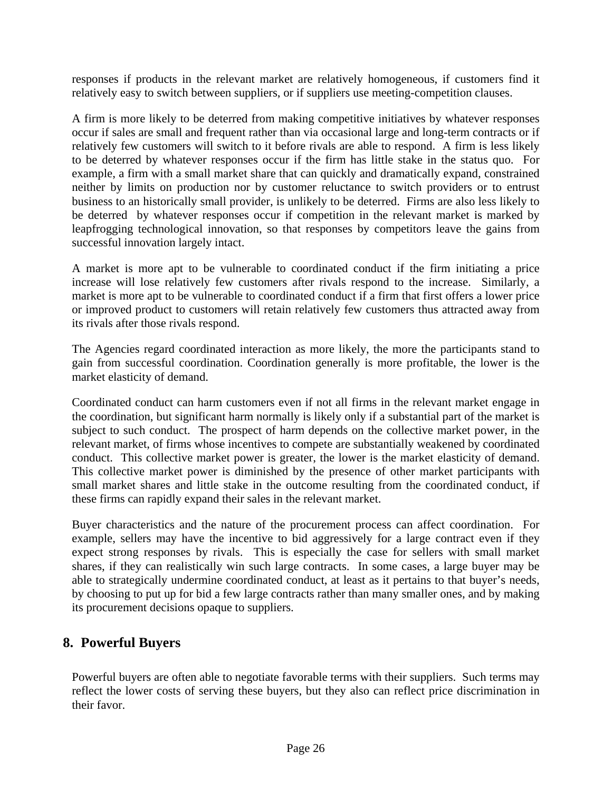responses if products in the relevant market are relatively homogeneous, if customers find it relatively easy to switch between suppliers, or if suppliers use meeting-competition clauses.

A firm is more likely to be deterred from making competitive initiatives by whatever responses occur if sales are small and frequent rather than via occasional large and long-term contracts or if relatively few customers will switch to it before rivals are able to respond. A firm is less likely to be deterred by whatever responses occur if the firm has little stake in the status quo. For example, a firm with a small market share that can quickly and dramatically expand, constrained neither by limits on production nor by customer reluctance to switch providers or to entrust business to an historically small provider, is unlikely to be deterred. Firms are also less likely to be deterred by whatever responses occur if competition in the relevant market is marked by leapfrogging technological innovation, so that responses by competitors leave the gains from successful innovation largely intact.

A market is more apt to be vulnerable to coordinated conduct if the firm initiating a price increase will lose relatively few customers after rivals respond to the increase. Similarly, a market is more apt to be vulnerable to coordinated conduct if a firm that first offers a lower price or improved product to customers will retain relatively few customers thus attracted away from its rivals after those rivals respond.

The Agencies regard coordinated interaction as more likely, the more the participants stand to gain from successful coordination. Coordination generally is more profitable, the lower is the market elasticity of demand.

Coordinated conduct can harm customers even if not all firms in the relevant market engage in the coordination, but significant harm normally is likely only if a substantial part of the market is subject to such conduct. The prospect of harm depends on the collective market power, in the relevant market, of firms whose incentives to compete are substantially weakened by coordinated conduct. This collective market power is greater, the lower is the market elasticity of demand. This collective market power is diminished by the presence of other market participants with small market shares and little stake in the outcome resulting from the coordinated conduct, if these firms can rapidly expand their sales in the relevant market.

Buyer characteristics and the nature of the procurement process can affect coordination. For example, sellers may have the incentive to bid aggressively for a large contract even if they expect strong responses by rivals. This is especially the case for sellers with small market shares, if they can realistically win such large contracts. In some cases, a large buyer may be able to strategically undermine coordinated conduct, at least as it pertains to that buyer's needs, by choosing to put up for bid a few large contracts rather than many smaller ones, and by making its procurement decisions opaque to suppliers.

## **8. Powerful Buyers**

Powerful buyers are often able to negotiate favorable terms with their suppliers. Such terms may reflect the lower costs of serving these buyers, but they also can reflect price discrimination in their favor.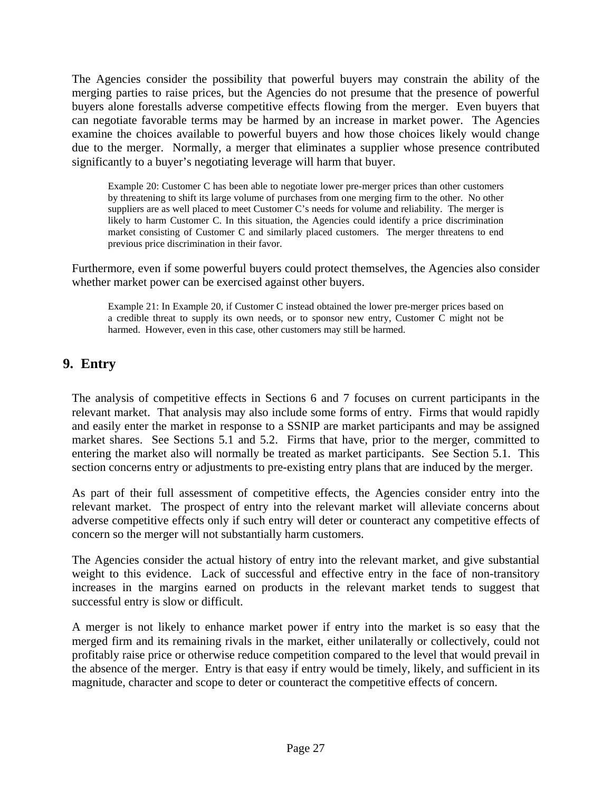The Agencies consider the possibility that powerful buyers may constrain the ability of the merging parties to raise prices, but the Agencies do not presume that the presence of powerful buyers alone forestalls adverse competitive effects flowing from the merger. Even buyers that can negotiate favorable terms may be harmed by an increase in market power. The Agencies examine the choices available to powerful buyers and how those choices likely would change due to the merger. Normally, a merger that eliminates a supplier whose presence contributed significantly to a buyer's negotiating leverage will harm that buyer.

Example 20: Customer C has been able to negotiate lower pre-merger prices than other customers by threatening to shift its large volume of purchases from one merging firm to the other. No other suppliers are as well placed to meet Customer C's needs for volume and reliability. The merger is likely to harm Customer C. In this situation, the Agencies could identify a price discrimination market consisting of Customer C and similarly placed customers. The merger threatens to end previous price discrimination in their favor.

Furthermore, even if some powerful buyers could protect themselves, the Agencies also consider whether market power can be exercised against other buyers.

Example 21: In Example 20, if Customer C instead obtained the lower pre-merger prices based on a credible threat to supply its own needs, or to sponsor new entry, Customer C might not be harmed. However, even in this case, other customers may still be harmed.

## **9. Entry**

The analysis of competitive effects in Sections 6 and 7 focuses on current participants in the relevant market. That analysis may also include some forms of entry. Firms that would rapidly and easily enter the market in response to a SSNIP are market participants and may be assigned market shares. See Sections 5.1 and 5.2. Firms that have, prior to the merger, committed to entering the market also will normally be treated as market participants. See Section 5.1. This section concerns entry or adjustments to pre-existing entry plans that are induced by the merger.

As part of their full assessment of competitive effects, the Agencies consider entry into the relevant market. The prospect of entry into the relevant market will alleviate concerns about adverse competitive effects only if such entry will deter or counteract any competitive effects of concern so the merger will not substantially harm customers.

The Agencies consider the actual history of entry into the relevant market, and give substantial weight to this evidence. Lack of successful and effective entry in the face of non-transitory increases in the margins earned on products in the relevant market tends to suggest that successful entry is slow or difficult.

A merger is not likely to enhance market power if entry into the market is so easy that the merged firm and its remaining rivals in the market, either unilaterally or collectively, could not profitably raise price or otherwise reduce competition compared to the level that would prevail in the absence of the merger. Entry is that easy if entry would be timely, likely, and sufficient in its magnitude, character and scope to deter or counteract the competitive effects of concern.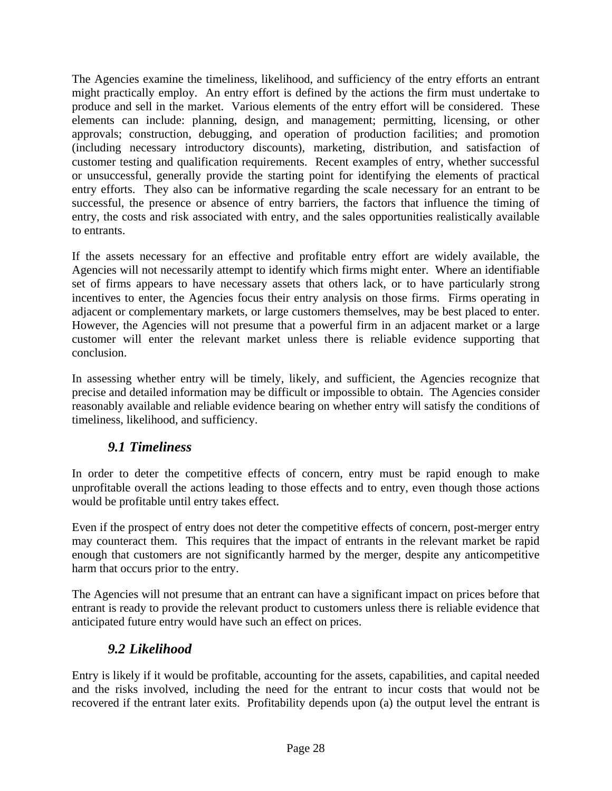The Agencies examine the timeliness, likelihood, and sufficiency of the entry efforts an entrant might practically employ. An entry effort is defined by the actions the firm must undertake to produce and sell in the market. Various elements of the entry effort will be considered. These elements can include: planning, design, and management; permitting, licensing, or other approvals; construction, debugging, and operation of production facilities; and promotion (including necessary introductory discounts), marketing, distribution, and satisfaction of customer testing and qualification requirements. Recent examples of entry, whether successful or unsuccessful, generally provide the starting point for identifying the elements of practical entry efforts. They also can be informative regarding the scale necessary for an entrant to be successful, the presence or absence of entry barriers, the factors that influence the timing of entry, the costs and risk associated with entry, and the sales opportunities realistically available to entrants.

If the assets necessary for an effective and profitable entry effort are widely available, the Agencies will not necessarily attempt to identify which firms might enter. Where an identifiable set of firms appears to have necessary assets that others lack, or to have particularly strong incentives to enter, the Agencies focus their entry analysis on those firms. Firms operating in adjacent or complementary markets, or large customers themselves, may be best placed to enter. However, the Agencies will not presume that a powerful firm in an adjacent market or a large customer will enter the relevant market unless there is reliable evidence supporting that conclusion.

In assessing whether entry will be timely, likely, and sufficient, the Agencies recognize that precise and detailed information may be difficult or impossible to obtain. The Agencies consider reasonably available and reliable evidence bearing on whether entry will satisfy the conditions of timeliness, likelihood, and sufficiency.

# *9.1 Timeliness*

In order to deter the competitive effects of concern, entry must be rapid enough to make unprofitable overall the actions leading to those effects and to entry, even though those actions would be profitable until entry takes effect.

Even if the prospect of entry does not deter the competitive effects of concern, post-merger entry may counteract them. This requires that the impact of entrants in the relevant market be rapid enough that customers are not significantly harmed by the merger, despite any anticompetitive harm that occurs prior to the entry.

The Agencies will not presume that an entrant can have a significant impact on prices before that entrant is ready to provide the relevant product to customers unless there is reliable evidence that anticipated future entry would have such an effect on prices.

# *9.2 Likelihood*

Entry is likely if it would be profitable, accounting for the assets, capabilities, and capital needed and the risks involved, including the need for the entrant to incur costs that would not be recovered if the entrant later exits. Profitability depends upon (a) the output level the entrant is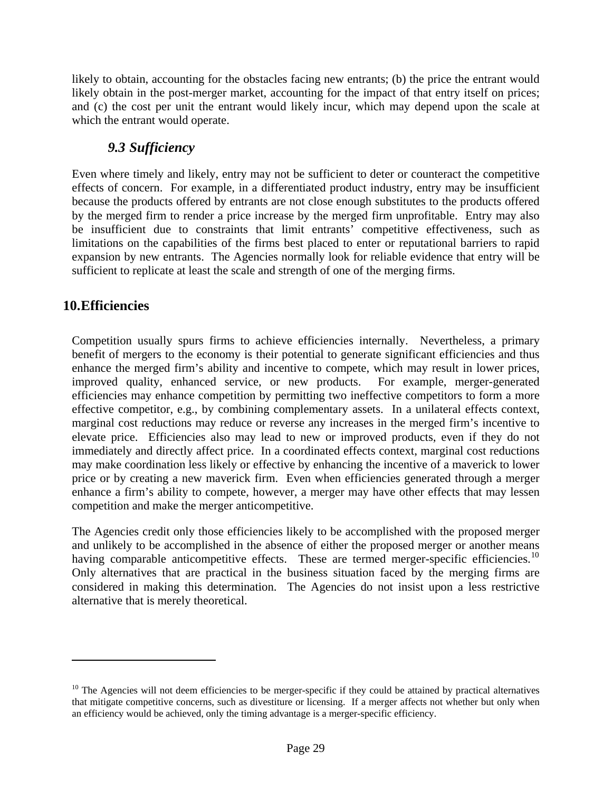likely to obtain, accounting for the obstacles facing new entrants; (b) the price the entrant would likely obtain in the post-merger market, accounting for the impact of that entry itself on prices; and (c) the cost per unit the entrant would likely incur, which may depend upon the scale at which the entrant would operate.

# *9.3 Sufficiency*

Even where timely and likely, entry may not be sufficient to deter or counteract the competitive effects of concern. For example, in a differentiated product industry, entry may be insufficient because the products offered by entrants are not close enough substitutes to the products offered by the merged firm to render a price increase by the merged firm unprofitable. Entry may also be insufficient due to constraints that limit entrants' competitive effectiveness, such as limitations on the capabilities of the firms best placed to enter or reputational barriers to rapid expansion by new entrants. The Agencies normally look for reliable evidence that entry will be sufficient to replicate at least the scale and strength of one of the merging firms.

## **10.Efficiencies**

1

Competition usually spurs firms to achieve efficiencies internally. Nevertheless, a primary benefit of mergers to the economy is their potential to generate significant efficiencies and thus enhance the merged firm's ability and incentive to compete, which may result in lower prices, improved quality, enhanced service, or new products. For example, merger-generated efficiencies may enhance competition by permitting two ineffective competitors to form a more effective competitor, e.g., by combining complementary assets. In a unilateral effects context, marginal cost reductions may reduce or reverse any increases in the merged firm's incentive to elevate price. Efficiencies also may lead to new or improved products, even if they do not immediately and directly affect price. In a coordinated effects context, marginal cost reductions may make coordination less likely or effective by enhancing the incentive of a maverick to lower price or by creating a new maverick firm. Even when efficiencies generated through a merger enhance a firm's ability to compete, however, a merger may have other effects that may lessen competition and make the merger anticompetitive.

The Agencies credit only those efficiencies likely to be accomplished with the proposed merger and unlikely to be accomplished in the absence of either the proposed merger or another means having comparable anticompetitive effects. These are termed merger-specific efficiencies.<sup>[10](#page-28-0)</sup> Only alternatives that are practical in the business situation faced by the merging firms are considered in making this determination. The Agencies do not insist upon a less restrictive alternative that is merely theoretical.

<span id="page-28-0"></span> $10$  The Agencies will not deem efficiencies to be merger-specific if they could be attained by practical alternatives that mitigate competitive concerns, such as divestiture or licensing. If a merger affects not whether but only when an efficiency would be achieved, only the timing advantage is a merger-specific efficiency.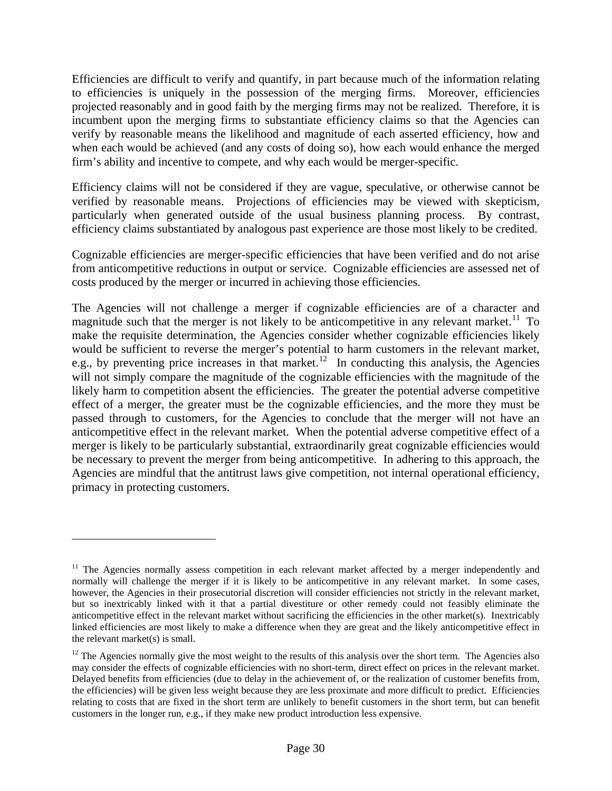Efficiencies are difficult to verify and quantify, in part because much of the information relating to efficiencies is uniquely in the possession of the merging firms. Moreover, efficiencies projected reasonably and in good faith by the merging firms may not be realized. Therefore, it is incumbent upon the merging firms to substantiate efficiency claims so that the Agencies can verify by reasonable means the likelihood and magnitude of each asserted efficiency, how and when each would be achieved (and any costs of doing so), how each would enhance the merged firm's ability and incentive to compete, and why each would be merger-specific.

Efficiency claims will not be considered if they are vague, speculative, or otherwise cannot be verified by reasonable means. Projections of efficiencies may be viewed with skepticism, particularly when generated outside of the usual business planning process. By contrast, efficiency claims substantiated by analogous past experience are those most likely to be credited.

Cognizable efficiencies are merger-specific efficiencies that have been verified and do not arise from anticompetitive reductions in output or service. Cognizable efficiencies are assessed net of costs produced by the merger or incurred in achieving those efficiencies.

The Agencies will not challenge a merger if cognizable efficiencies are of a character and magnitude such that the merger is not likely to be anticompetitive in any relevant market.<sup>[11](#page-29-0)</sup> To make the requisite determination, the Agencies consider whether cognizable efficiencies likely would be sufficient to reverse the merger's potential to harm customers in the relevant market, e.g., by preventing price increases in that market.<sup>[12](#page-29-1)</sup> In conducting this analysis, the Agencies will not simply compare the magnitude of the cognizable efficiencies with the magnitude of the likely harm to competition absent the efficiencies. The greater the potential adverse competitive effect of a merger, the greater must be the cognizable efficiencies, and the more they must be passed through to customers, for the Agencies to conclude that the merger will not have an anticompetitive effect in the relevant market. When the potential adverse competitive effect of a merger is likely to be particularly substantial, extraordinarily great cognizable efficiencies would be necessary to prevent the merger from being anticompetitive. In adhering to this approach, the Agencies are mindful that the antitrust laws give competition, not internal operational efficiency, primacy in protecting customers.

1

<span id="page-29-0"></span> $11$  The Agencies normally assess competition in each relevant market affected by a merger independently and normally will challenge the merger if it is likely to be anticompetitive in any relevant market. In some cases, however, the Agencies in their prosecutorial discretion will consider efficiencies not strictly in the relevant market, but so inextricably linked with it that a partial divestiture or other remedy could not feasibly eliminate the anticompetitive effect in the relevant market without sacrificing the efficiencies in the other market(s). Inextricably linked efficiencies are most likely to make a difference when they are great and the likely anticompetitive effect in the relevant market(s) is small.

<span id="page-29-1"></span><sup>&</sup>lt;sup>12</sup> The Agencies normally give the most weight to the results of this analysis over the short term. The Agencies also may consider the effects of cognizable efficiencies with no short-term, direct effect on prices in the relevant market. Delayed benefits from efficiencies (due to delay in the achievement of, or the realization of customer benefits from, the efficiencies) will be given less weight because they are less proximate and more difficult to predict. Efficiencies relating to costs that are fixed in the short term are unlikely to benefit customers in the short term, but can benefit customers in the longer run, e.g., if they make new product introduction less expensive.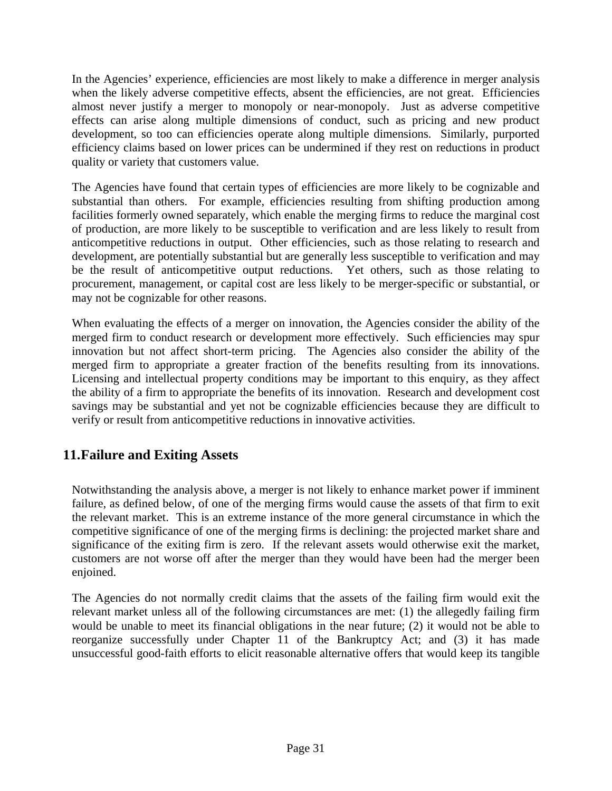In the Agencies' experience, efficiencies are most likely to make a difference in merger analysis when the likely adverse competitive effects, absent the efficiencies, are not great. Efficiencies almost never justify a merger to monopoly or near-monopoly. Just as adverse competitive effects can arise along multiple dimensions of conduct, such as pricing and new product development, so too can efficiencies operate along multiple dimensions. Similarly, purported efficiency claims based on lower prices can be undermined if they rest on reductions in product quality or variety that customers value.

The Agencies have found that certain types of efficiencies are more likely to be cognizable and substantial than others. For example, efficiencies resulting from shifting production among facilities formerly owned separately, which enable the merging firms to reduce the marginal cost of production, are more likely to be susceptible to verification and are less likely to result from anticompetitive reductions in output. Other efficiencies, such as those relating to research and development, are potentially substantial but are generally less susceptible to verification and may be the result of anticompetitive output reductions. Yet others, such as those relating to procurement, management, or capital cost are less likely to be merger-specific or substantial, or may not be cognizable for other reasons.

When evaluating the effects of a merger on innovation, the Agencies consider the ability of the merged firm to conduct research or development more effectively. Such efficiencies may spur innovation but not affect short-term pricing. The Agencies also consider the ability of the merged firm to appropriate a greater fraction of the benefits resulting from its innovations. Licensing and intellectual property conditions may be important to this enquiry, as they affect the ability of a firm to appropriate the benefits of its innovation. Research and development cost savings may be substantial and yet not be cognizable efficiencies because they are difficult to verify or result from anticompetitive reductions in innovative activities.

# **11.Failure and Exiting Assets**

Notwithstanding the analysis above, a merger is not likely to enhance market power if imminent failure, as defined below, of one of the merging firms would cause the assets of that firm to exit the relevant market. This is an extreme instance of the more general circumstance in which the competitive significance of one of the merging firms is declining: the projected market share and significance of the exiting firm is zero. If the relevant assets would otherwise exit the market, customers are not worse off after the merger than they would have been had the merger been enjoined.

The Agencies do not normally credit claims that the assets of the failing firm would exit the relevant market unless all of the following circumstances are met: (1) the allegedly failing firm would be unable to meet its financial obligations in the near future; (2) it would not be able to reorganize successfully under Chapter 11 of the Bankruptcy Act; and (3) it has made unsuccessful good-faith efforts to elicit reasonable alternative offers that would keep its tangible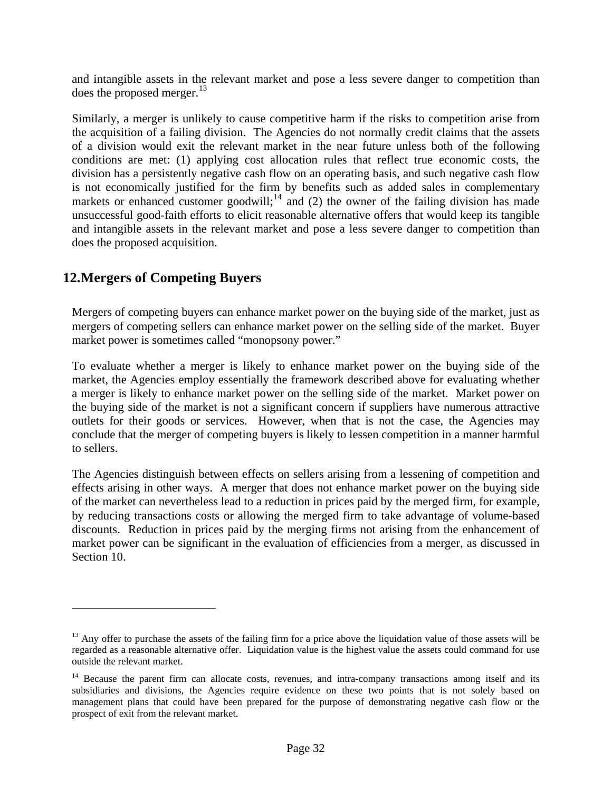and intangible assets in the relevant market and pose a less severe danger to competition than does the proposed merger. $^{13}$  $^{13}$  $^{13}$ 

Similarly, a merger is unlikely to cause competitive harm if the risks to competition arise from the acquisition of a failing division. The Agencies do not normally credit claims that the assets of a division would exit the relevant market in the near future unless both of the following conditions are met: (1) applying cost allocation rules that reflect true economic costs, the division has a persistently negative cash flow on an operating basis, and such negative cash flow is not economically justified for the firm by benefits such as added sales in complementary markets or enhanced customer goodwill;<sup>[14](#page-31-1)</sup> and (2) the owner of the failing division has made unsuccessful good-faith efforts to elicit reasonable alternative offers that would keep its tangible and intangible assets in the relevant market and pose a less severe danger to competition than does the proposed acquisition.

## **12.Mergers of Competing Buyers**

 $\overline{a}$ 

Mergers of competing buyers can enhance market power on the buying side of the market, just as mergers of competing sellers can enhance market power on the selling side of the market. Buyer market power is sometimes called "monopsony power."

To evaluate whether a merger is likely to enhance market power on the buying side of the market, the Agencies employ essentially the framework described above for evaluating whether a merger is likely to enhance market power on the selling side of the market. Market power on the buying side of the market is not a significant concern if suppliers have numerous attractive outlets for their goods or services. However, when that is not the case, the Agencies may conclude that the merger of competing buyers is likely to lessen competition in a manner harmful to sellers.

The Agencies distinguish between effects on sellers arising from a lessening of competition and effects arising in other ways. A merger that does not enhance market power on the buying side of the market can nevertheless lead to a reduction in prices paid by the merged firm, for example, by reducing transactions costs or allowing the merged firm to take advantage of volume-based discounts. Reduction in prices paid by the merging firms not arising from the enhancement of market power can be significant in the evaluation of efficiencies from a merger, as discussed in Section 10.

<span id="page-31-0"></span> $13$  Any offer to purchase the assets of the failing firm for a price above the liquidation value of those assets will be regarded as a reasonable alternative offer. Liquidation value is the highest value the assets could command for use outside the relevant market.

<span id="page-31-1"></span><sup>&</sup>lt;sup>14</sup> Because the parent firm can allocate costs, revenues, and intra-company transactions among itself and its subsidiaries and divisions, the Agencies require evidence on these two points that is not solely based on management plans that could have been prepared for the purpose of demonstrating negative cash flow or the prospect of exit from the relevant market.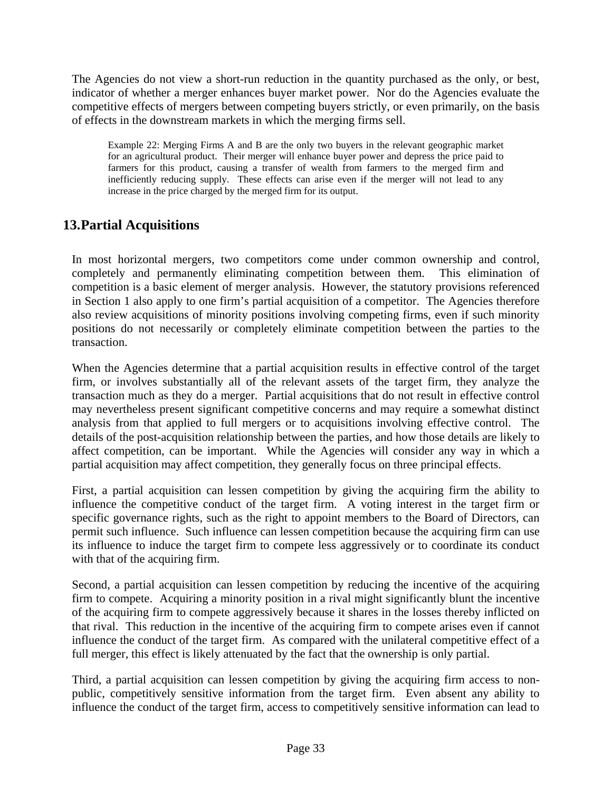The Agencies do not view a short-run reduction in the quantity purchased as the only, or best, indicator of whether a merger enhances buyer market power. Nor do the Agencies evaluate the competitive effects of mergers between competing buyers strictly, or even primarily, on the basis of effects in the downstream markets in which the merging firms sell.

Example 22: Merging Firms A and B are the only two buyers in the relevant geographic market for an agricultural product. Their merger will enhance buyer power and depress the price paid to farmers for this product, causing a transfer of wealth from farmers to the merged firm and inefficiently reducing supply. These effects can arise even if the merger will not lead to any increase in the price charged by the merged firm for its output.

# **13.Partial Acquisitions**

In most horizontal mergers, two competitors come under common ownership and control, completely and permanently eliminating competition between them. This elimination of competition is a basic element of merger analysis. However, the statutory provisions referenced in Section 1 also apply to one firm's partial acquisition of a competitor. The Agencies therefore also review acquisitions of minority positions involving competing firms, even if such minority positions do not necessarily or completely eliminate competition between the parties to the transaction.

When the Agencies determine that a partial acquisition results in effective control of the target firm, or involves substantially all of the relevant assets of the target firm, they analyze the transaction much as they do a merger. Partial acquisitions that do not result in effective control may nevertheless present significant competitive concerns and may require a somewhat distinct analysis from that applied to full mergers or to acquisitions involving effective control. The details of the post-acquisition relationship between the parties, and how those details are likely to affect competition, can be important. While the Agencies will consider any way in which a partial acquisition may affect competition, they generally focus on three principal effects.

First, a partial acquisition can lessen competition by giving the acquiring firm the ability to influence the competitive conduct of the target firm. A voting interest in the target firm or specific governance rights, such as the right to appoint members to the Board of Directors, can permit such influence. Such influence can lessen competition because the acquiring firm can use its influence to induce the target firm to compete less aggressively or to coordinate its conduct with that of the acquiring firm.

Second, a partial acquisition can lessen competition by reducing the incentive of the acquiring firm to compete. Acquiring a minority position in a rival might significantly blunt the incentive of the acquiring firm to compete aggressively because it shares in the losses thereby inflicted on that rival. This reduction in the incentive of the acquiring firm to compete arises even if cannot influence the conduct of the target firm. As compared with the unilateral competitive effect of a full merger, this effect is likely attenuated by the fact that the ownership is only partial.

Third, a partial acquisition can lessen competition by giving the acquiring firm access to nonpublic, competitively sensitive information from the target firm. Even absent any ability to influence the conduct of the target firm, access to competitively sensitive information can lead to